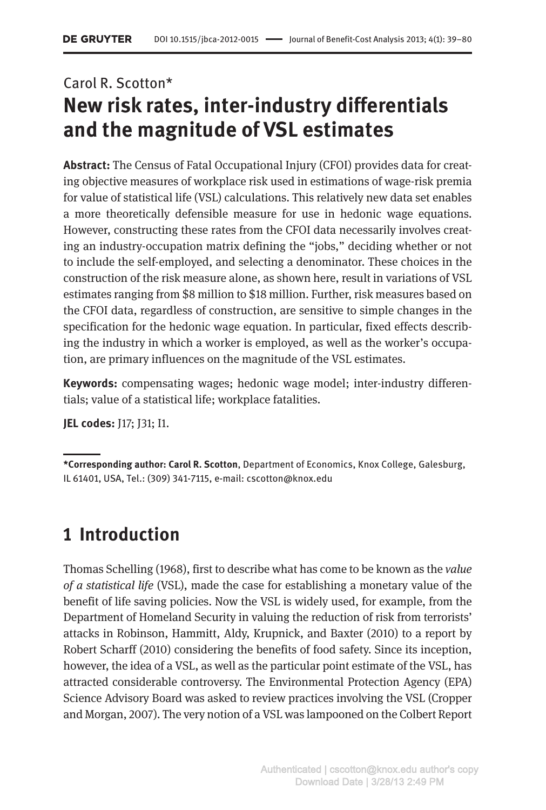## Carol R. Scotton\* **New risk rates, inter-industry differentials and the magnitude of VSL estimates**

**Abstract:** The Census of Fatal Occupational Injury (CFOI) provides data for creating objective measures of workplace risk used in estimations of wage-risk premia for value of statistical life (VSL) calculations. This relatively new data set enables a more theoretically defensible measure for use in hedonic wage equations. However, constructing these rates from the CFOI data necessarily involves creating an industry-occupation matrix defining the "jobs," deciding whether or not to include the self-employed, and selecting a denominator. These choices in the construction of the risk measure alone, as shown here, result in variations of VSL estimates ranging from \$8 million to \$18 million. Further, risk measures based on the CFOI data, regardless of construction, are sensitive to simple changes in the specification for the hedonic wage equation. In particular, fixed effects describing the industry in which a worker is employed, as well as the worker's occupation, are primary influences on the magnitude of the VSL estimates.

**Keywords:** compensating wages; hedonic wage model; inter-industry differentials; value of a statistical life; workplace fatalities.

**JEL codes:** J17; J31; I1.

### **1 Introduction**

Thomas Schelling (1968), first to describe what has come to be known as the *value of a statistical life* (VSL), made the case for establishing a monetary value of the benefit of life saving policies. Now the VSL is widely used, for example, from the Department of Homeland Security in valuing the reduction of risk from terrorists' attacks in Robinson, Hammitt, Aldy, Krupnick, and Baxter (2010) to a report by Robert Scharff (2010) considering the benefits of food safety. Since its inception, however, the idea of a VSL, as well as the particular point estimate of the VSL, has attracted considerable controversy. The Environmental Protection Agency (EPA) Science Advisory Board was asked to review practices involving the VSL (Cropper and Morgan, 2007). The very notion of a VSL was lampooned on the Colbert Report

**<sup>\*</sup>Corresponding author: Carol R. Scotton**, Department of Economics, Knox College, Galesburg, IL 61401, USA, Tel.: (309) 341-7115, e-mail: cscotton@knox.edu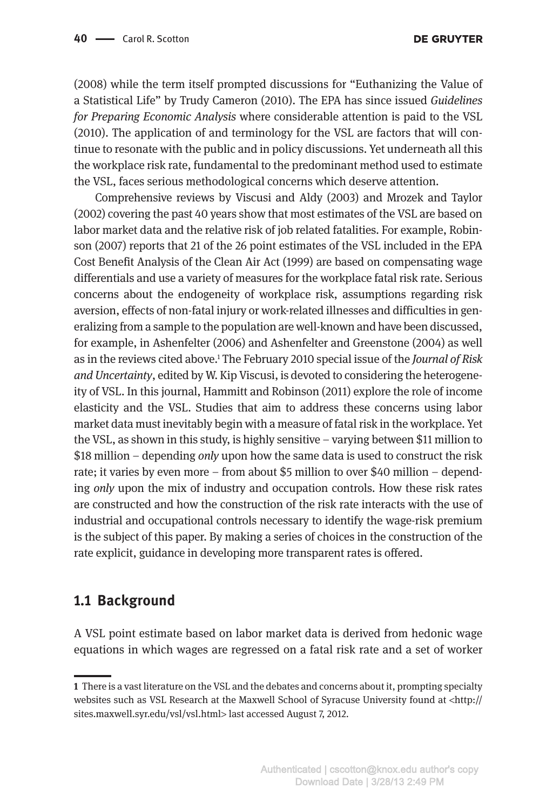(2008) while the term itself prompted discussions for "Euthanizing the Value of a Statistical Life" by Trudy Cameron (2010). The EPA has since issued *Guidelines for Preparing Economic Analysis* where considerable attention is paid to the VSL (2010). The application of and terminology for the VSL are factors that will continue to resonate with the public and in policy discussions. Yet underneath all this the workplace risk rate, fundamental to the predominant method used to estimate the VSL, faces serious methodological concerns which deserve attention.

Comprehensive reviews by Viscusi and Aldy (2003) and Mrozek and Taylor (2002) covering the past 40 years show that most estimates of the VSL are based on labor market data and the relative risk of job related fatalities. For example, Robinson (2007) reports that 21 of the 26 point estimates of the VSL included in the EPA Cost Benefit Analysis of the Clean Air Act (1999) are based on compensating wage differentials and use a variety of measures for the workplace fatal risk rate. Serious concerns about the endogeneity of workplace risk, assumptions regarding risk aversion, effects of non-fatal injury or work-related illnesses and difficulties in generalizing from a sample to the population are well-known and have been discussed, for example, in Ashenfelter (2006) and Ashenfelter and Greenstone (2004) as well as in the reviews cited above.1 The February 2010 special issue of the *Journal of Risk and Uncertainty*, edited by W. Kip Viscusi, is devoted to considering the heterogeneity of VSL. In this journal, Hammitt and Robinson (2011) explore the role of income elasticity and the VSL. Studies that aim to address these concerns using labor market data must inevitably begin with a measure of fatal risk in the workplace. Yet the VSL, as shown in this study, is highly sensitive – varying between \$11 million to \$18 million – depending *only* upon how the same data is used to construct the risk rate; it varies by even more – from about \$5 million to over \$40 million – depending *only* upon the mix of industry and occupation controls. How these risk rates are constructed and how the construction of the risk rate interacts with the use of industrial and occupational controls necessary to identify the wage-risk premium is the subject of this paper. By making a series of choices in the construction of the rate explicit, guidance in developing more transparent rates is offered.

#### **1.1 Background**

A VSL point estimate based on labor market data is derived from hedonic wage equations in which wages are regressed on a fatal risk rate and a set of worker

**<sup>1</sup>** There is a vast literature on the VSL and the debates and concerns about it, prompting specialty websites such as VSL Research at the Maxwell School of Syracuse University found at <http:// sites.maxwell.syr.edu/vsl/vsl.html> last accessed August 7, 2012.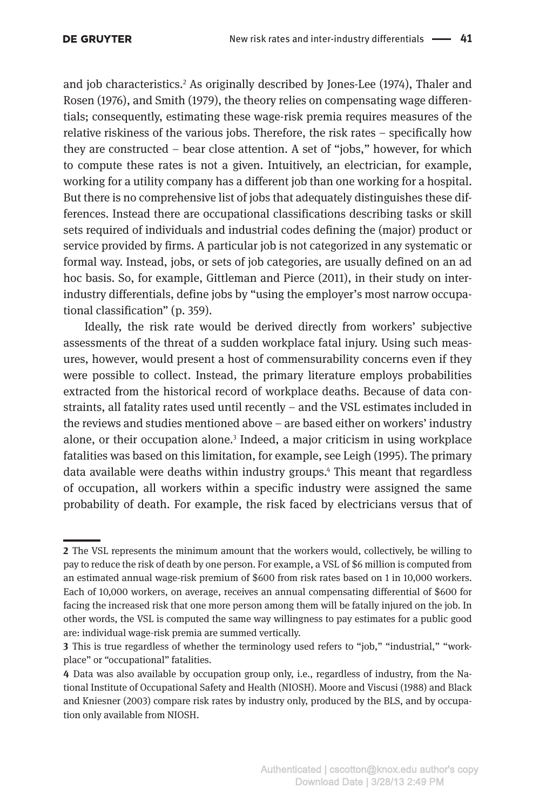and job characteristics.<sup>2</sup> As originally described by Jones-Lee (1974), Thaler and Rosen (1976), and Smith (1979), the theory relies on compensating wage differentials; consequently, estimating these wage-risk premia requires measures of the relative riskiness of the various jobs. Therefore, the risk rates – specifically how they are constructed – bear close attention. A set of "jobs," however, for which to compute these rates is not a given. Intuitively, an electrician, for example, working for a utility company has a different job than one working for a hospital. But there is no comprehensive list of jobs that adequately distinguishes these differences. Instead there are occupational classifications describing tasks or skill sets required of individuals and industrial codes defining the (major) product or service provided by firms. A particular job is not categorized in any systematic or formal way. Instead, jobs, or sets of job categories, are usually defined on an ad hoc basis. So, for example, Gittleman and Pierce (2011), in their study on interindustry differentials, define jobs by "using the employer's most narrow occupational classification" (p. 359).

Ideally, the risk rate would be derived directly from workers' subjective assessments of the threat of a sudden workplace fatal injury. Using such measures, however, would present a host of commensurability concerns even if they were possible to collect. Instead, the primary literature employs probabilities extracted from the historical record of workplace deaths. Because of data constraints, all fatality rates used until recently – and the VSL estimates included in the reviews and studies mentioned above – are based either on workers' industry alone, or their occupation alone.<sup>3</sup> Indeed, a major criticism in using workplace fatalities was based on this limitation, for example, see Leigh (1995). The primary data available were deaths within industry groups.4 This meant that regardless of occupation, all workers within a specific industry were assigned the same probability of death. For example, the risk faced by electricians versus that of

**<sup>2</sup>** The VSL represents the minimum amount that the workers would, collectively, be willing to pay to reduce the risk of death by one person. For example, a VSL of \$6 million is computed from an estimated annual wage-risk premium of \$600 from risk rates based on 1 in 10,000 workers. Each of 10,000 workers, on average, receives an annual compensating differential of \$600 for facing the increased risk that one more person among them will be fatally injured on the job. In other words, the VSL is computed the same way willingness to pay estimates for a public good are: individual wage-risk premia are summed vertically.

**<sup>3</sup>** This is true regardless of whether the terminology used refers to "job," "industrial," "workplace" or "occupational" fatalities.

**<sup>4</sup>** Data was also available by occupation group only, i.e., regardless of industry, from the National Institute of Occupational Safety and Health (NIOSH). Moore and Viscusi (1988) and Black and Kniesner (2003) compare risk rates by industry only, produced by the BLS, and by occupation only available from NIOSH.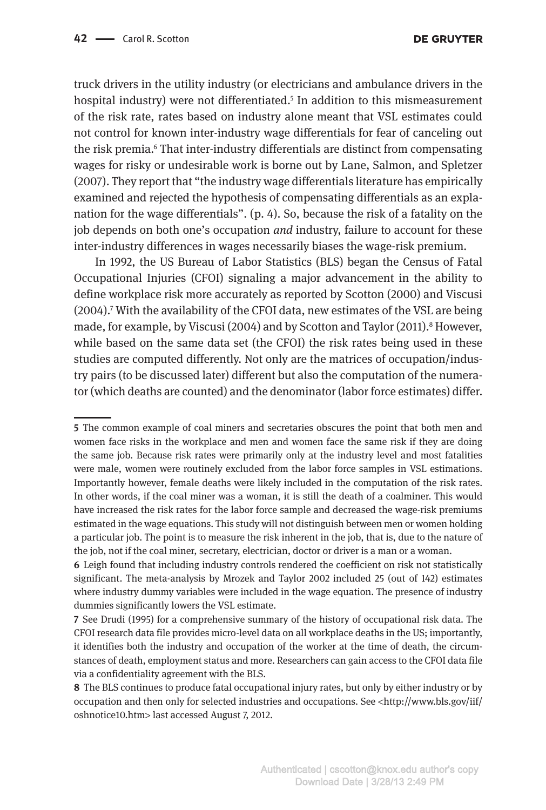truck drivers in the utility industry (or electricians and ambulance drivers in the hospital industry) were not differentiated.<sup>5</sup> In addition to this mismeasurement of the risk rate, rates based on industry alone meant that VSL estimates could not control for known inter-industry wage differentials for fear of canceling out the risk premia.6 That inter-industry differentials are distinct from compensating wages for risky or undesirable work is borne out by Lane, Salmon, and Spletzer (2007). They report that "the industry wage differentials literature has empirically examined and rejected the hypothesis of compensating differentials as an explanation for the wage differentials". (p. 4). So, because the risk of a fatality on the job depends on both one's occupation *and* industry, failure to account for these inter-industry differences in wages necessarily biases the wage-risk premium.

In 1992, the US Bureau of Labor Statistics (BLS) began the Census of Fatal Occupational Injuries (CFOI) signaling a major advancement in the ability to define workplace risk more accurately as reported by Scotton (2000) and Viscusi (2004).7 With the availability of the CFOI data, new estimates of the VSL are being made, for example, by Viscusi (2004) and by Scotton and Taylor (2011).<sup>8</sup> However, while based on the same data set (the CFOI) the risk rates being used in these studies are computed differently. Not only are the matrices of occupation/industry pairs (to be discussed later) different but also the computation of the numerator (which deaths are counted) and the denominator (labor force estimates) differ.

**<sup>5</sup>** The common example of coal miners and secretaries obscures the point that both men and women face risks in the workplace and men and women face the same risk if they are doing the same job. Because risk rates were primarily only at the industry level and most fatalities were male, women were routinely excluded from the labor force samples in VSL estimations. Importantly however, female deaths were likely included in the computation of the risk rates. In other words, if the coal miner was a woman, it is still the death of a coalminer. This would have increased the risk rates for the labor force sample and decreased the wage-risk premiums estimated in the wage equations. This study will not distinguish between men or women holding a particular job. The point is to measure the risk inherent in the job, that is, due to the nature of the job, not if the coal miner, secretary, electrician, doctor or driver is a man or a woman.

**<sup>6</sup>** Leigh found that including industry controls rendered the coefficient on risk not statistically significant. The meta-analysis by Mrozek and Taylor 2002 included 25 (out of 142) estimates where industry dummy variables were included in the wage equation. The presence of industry dummies significantly lowers the VSL estimate.

**<sup>7</sup>** See Drudi (1995) for a comprehensive summary of the history of occupational risk data. The CFOI research data file provides micro-level data on all workplace deaths in the US; importantly, it identifies both the industry and occupation of the worker at the time of death, the circumstances of death, employment status and more. Researchers can gain access to the CFOI data file via a confidentiality agreement with the BLS.

**<sup>8</sup>** The BLS continues to produce fatal occupational injury rates, but only by either industry or by occupation and then only for selected industries and occupations. See <http://www.bls.gov/iif/ oshnotice10.htm> last accessed August 7, 2012.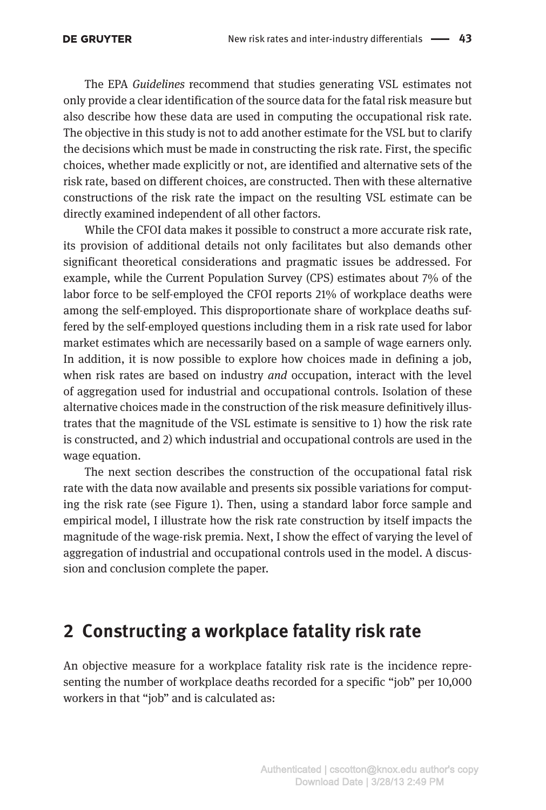#### **DE GRUYTER**

The EPA *Guidelines* recommend that studies generating VSL estimates not only provide a clear identification of the source data for the fatal risk measure but also describe how these data are used in computing the occupational risk rate. The objective in this study is not to add another estimate for the VSL but to clarify the decisions which must be made in constructing the risk rate. First, the specific choices, whether made explicitly or not, are identified and alternative sets of the risk rate, based on different choices, are constructed. Then with these alternative constructions of the risk rate the impact on the resulting VSL estimate can be directly examined independent of all other factors.

While the CFOI data makes it possible to construct a more accurate risk rate, its provision of additional details not only facilitates but also demands other significant theoretical considerations and pragmatic issues be addressed. For example, while the Current Population Survey (CPS) estimates about 7% of the labor force to be self-employed the CFOI reports 21% of workplace deaths were among the self-employed. This disproportionate share of workplace deaths suffered by the self-employed questions including them in a risk rate used for labor market estimates which are necessarily based on a sample of wage earners only. In addition, it is now possible to explore how choices made in defining a job, when risk rates are based on industry *and* occupation, interact with the level of aggregation used for industrial and occupational controls. Isolation of these alternative choices made in the construction of the risk measure definitively illustrates that the magnitude of the VSL estimate is sensitive to 1) how the risk rate is constructed, and 2) which industrial and occupational controls are used in the wage equation.

The next section describes the construction of the occupational fatal risk rate with the data now available and presents six possible variations for computing the risk rate (see Figure 1). Then, using a standard labor force sample and empirical model, I illustrate how the risk rate construction by itself impacts the magnitude of the wage-risk premia. Next, I show the effect of varying the level of aggregation of industrial and occupational controls used in the model. A discussion and conclusion complete the paper.

### **2 Constructing a workplace fatality risk rate**

An objective measure for a workplace fatality risk rate is the incidence representing the number of workplace deaths recorded for a specific "job" per 10,000 workers in that "job" and is calculated as: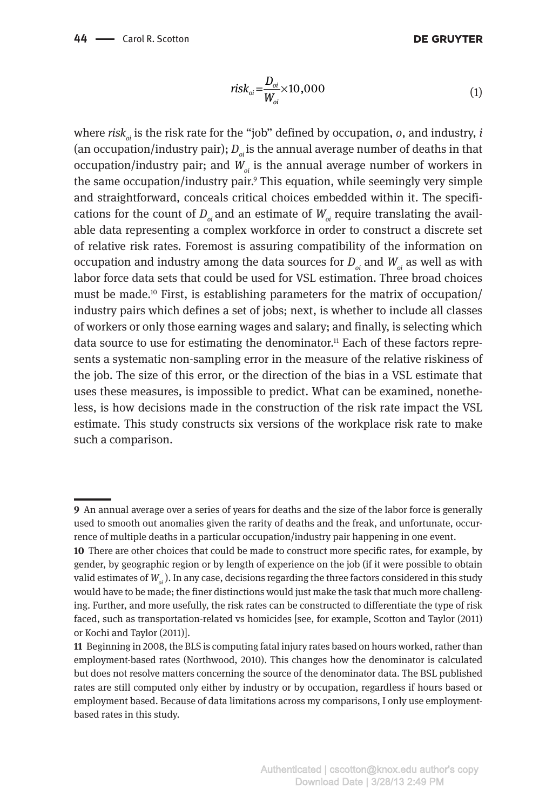44 - Carol R. Scotton

#### **DE GRUYTER**

$$
risk_{oi} = \frac{D_{oi}}{W_{oi}} \times 10,000
$$
 (1)

where *risk<sub>oi</sub>* is the risk rate for the "job" defined by occupation, *o*, and industry, *i* (an occupation/industry pair);  $D_{\alpha}$  is the annual average number of deaths in that occupation/industry pair; and  $W_{\alpha}$  is the annual average number of workers in the same occupation/industry pair.9 This equation, while seemingly very simple and straightforward, conceals critical choices embedded within it. The specifications for the count of  $D_{\alpha}$  and an estimate of  $W_{\alpha}$  require translating the available data representing a complex workforce in order to construct a discrete set of relative risk rates. Foremost is assuring compatibility of the information on occupation and industry among the data sources for  $D_{oi}$  and  $W_{oi}$  as well as with labor force data sets that could be used for VSL estimation. Three broad choices must be made.10 First, is establishing parameters for the matrix of occupation/ industry pairs which defines a set of jobs; next, is whether to include all classes of workers or only those earning wages and salary; and finally, is selecting which data source to use for estimating the denominator.<sup>11</sup> Each of these factors represents a systematic non-sampling error in the measure of the relative riskiness of the job. The size of this error, or the direction of the bias in a VSL estimate that uses these measures, is impossible to predict. What can be examined, nonetheless, is how decisions made in the construction of the risk rate impact the VSL estimate. This study constructs six versions of the workplace risk rate to make such a comparison.

**<sup>9</sup>** An annual average over a series of years for deaths and the size of the labor force is generally used to smooth out anomalies given the rarity of deaths and the freak, and unfortunate, occurrence of multiple deaths in a particular occupation/industry pair happening in one event.

**<sup>10</sup>** There are other choices that could be made to construct more specific rates, for example, by gender, by geographic region or by length of experience on the job (if it were possible to obtain valid estimates of  $W_{oi}$ ). In any case, decisions regarding the three factors considered in this study would have to be made; the finer distinctions would just make the task that much more challenging. Further, and more usefully, the risk rates can be constructed to differentiate the type of risk faced, such as transportation-related vs homicides [see, for example, Scotton and Taylor (2011) or Kochi and Taylor (2011)].

**<sup>11</sup>** Beginning in 2008, the BLS is computing fatal injury rates based on hours worked, rather than employment-based rates (Northwood, 2010). This changes how the denominator is calculated but does not resolve matters concerning the source of the denominator data. The BSL published rates are still computed only either by industry or by occupation, regardless if hours based or employment based. Because of data limitations across my comparisons, I only use employmentbased rates in this study.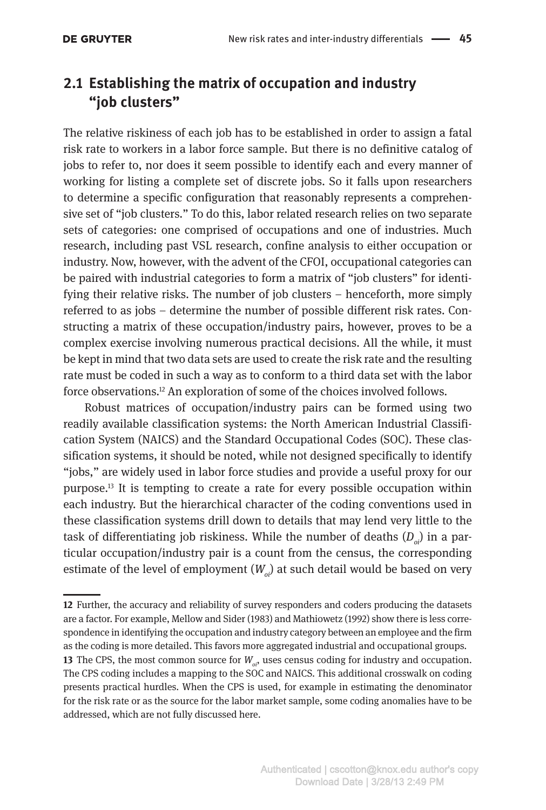### **2.1 Establishing the matrix of occupation and industry "job clusters"**

The relative riskiness of each job has to be established in order to assign a fatal risk rate to workers in a labor force sample. But there is no definitive catalog of jobs to refer to, nor does it seem possible to identify each and every manner of working for listing a complete set of discrete jobs. So it falls upon researchers to determine a specific configuration that reasonably represents a comprehensive set of "job clusters." To do this, labor related research relies on two separate sets of categories: one comprised of occupations and one of industries. Much research, including past VSL research, confine analysis to either occupation or industry. Now, however, with the advent of the CFOI, occupational categories can be paired with industrial categories to form a matrix of "job clusters" for identifying their relative risks. The number of job clusters – henceforth, more simply referred to as jobs – determine the number of possible different risk rates. Constructing a matrix of these occupation/industry pairs, however, proves to be a complex exercise involving numerous practical decisions. All the while, it must be kept in mind that two data sets are used to create the risk rate and the resulting rate must be coded in such a way as to conform to a third data set with the labor force observations.12 An exploration of some of the choices involved follows.

Robust matrices of occupation/industry pairs can be formed using two readily available classification systems: the North American Industrial Classification System (NAICS) and the Standard Occupational Codes (SOC). These classification systems, it should be noted, while not designed specifically to identify "jobs," are widely used in labor force studies and provide a useful proxy for our purpose.13 It is tempting to create a rate for every possible occupation within each industry. But the hierarchical character of the coding conventions used in these classification systems drill down to details that may lend very little to the task of differentiating job riskiness. While the number of deaths  $(D_{\alpha})$  in a particular occupation/industry pair is a count from the census, the corresponding estimate of the level of employment  $(W_{\alpha})$  at such detail would be based on very

addressed, which are not fully discussed here.

**<sup>12</sup>** Further, the accuracy and reliability of survey responders and coders producing the datasets are a factor. For example, Mellow and Sider (1983) and Mathiowetz (1992) show there is less correspondence in identifying the occupation and industry category between an employee and the firm as the coding is more detailed. This favors more aggregated industrial and occupational groups. **13** The CPS, the most common source for  $W_{\alpha}$ , uses census coding for industry and occupation. The CPS coding includes a mapping to the SOC and NAICS. This additional crosswalk on coding presents practical hurdles. When the CPS is used, for example in estimating the denominator for the risk rate or as the source for the labor market sample, some coding anomalies have to be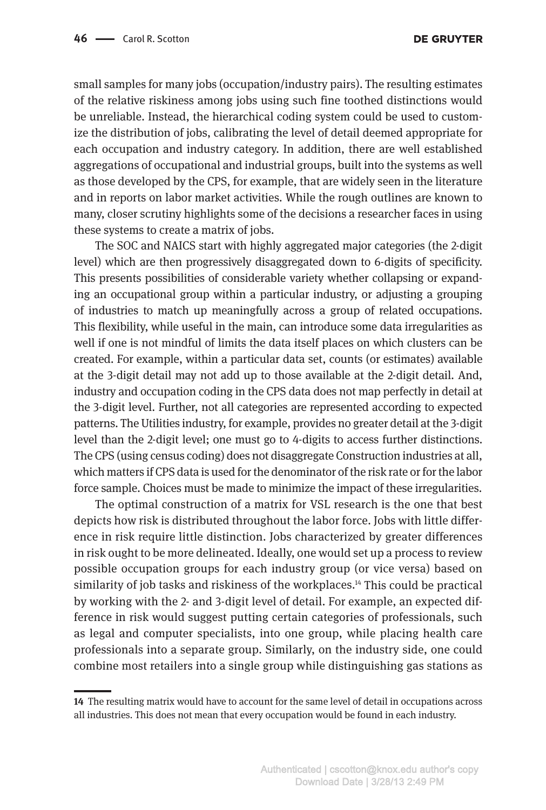small samples for many jobs (occupation/industry pairs). The resulting estimates of the relative riskiness among jobs using such fine toothed distinctions would be unreliable. Instead, the hierarchical coding system could be used to customize the distribution of jobs, calibrating the level of detail deemed appropriate for each occupation and industry category. In addition, there are well established aggregations of occupational and industrial groups, built into the systems as well as those developed by the CPS, for example, that are widely seen in the literature and in reports on labor market activities. While the rough outlines are known to many, closer scrutiny highlights some of the decisions a researcher faces in using these systems to create a matrix of jobs.

The SOC and NAICS start with highly aggregated major categories (the 2-digit level) which are then progressively disaggregated down to 6-digits of specificity. This presents possibilities of considerable variety whether collapsing or expanding an occupational group within a particular industry, or adjusting a grouping of industries to match up meaningfully across a group of related occupations. This flexibility, while useful in the main, can introduce some data irregularities as well if one is not mindful of limits the data itself places on which clusters can be created. For example, within a particular data set, counts (or estimates) available at the 3-digit detail may not add up to those available at the 2-digit detail. And, industry and occupation coding in the CPS data does not map perfectly in detail at the 3-digit level. Further, not all categories are represented according to expected patterns. The Utilities industry, for example, provides no greater detail at the 3-digit level than the 2-digit level; one must go to 4-digits to access further distinctions. The CPS (using census coding) does not disaggregate Construction industries at all, which matters if CPS data is used for the denominator of the risk rate or for the labor force sample. Choices must be made to minimize the impact of these irregularities.

The optimal construction of a matrix for VSL research is the one that best depicts how risk is distributed throughout the labor force. Jobs with little difference in risk require little distinction. Jobs characterized by greater differences in risk ought to be more delineated. Ideally, one would set up a process to review possible occupation groups for each industry group (or vice versa) based on similarity of job tasks and riskiness of the workplaces.14 This could be practical by working with the 2- and 3-digit level of detail. For example, an expected difference in risk would suggest putting certain categories of professionals, such as legal and computer specialists, into one group, while placing health care professionals into a separate group. Similarly, on the industry side, one could combine most retailers into a single group while distinguishing gas stations as

**<sup>14</sup>** The resulting matrix would have to account for the same level of detail in occupations across all industries. This does not mean that every occupation would be found in each industry.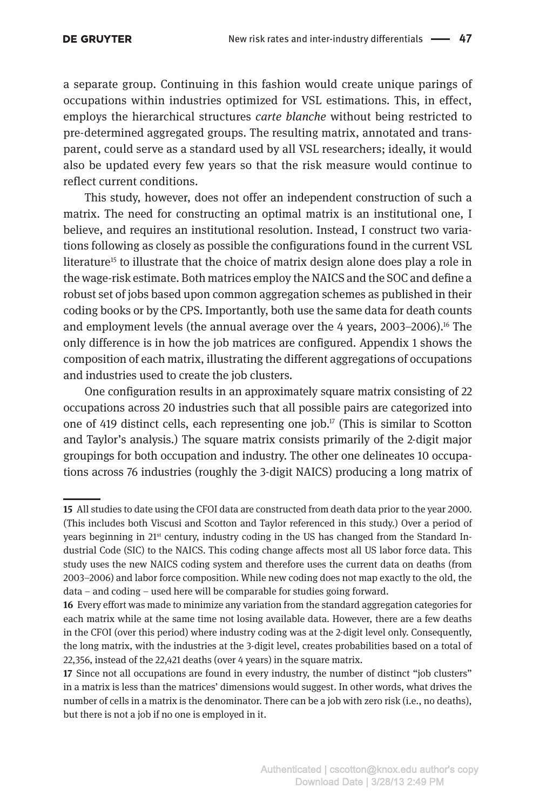#### **DE GRUYTER**

a separate group. Continuing in this fashion would create unique parings of occupations within industries optimized for VSL estimations. This, in effect, employs the hierarchical structures *carte blanche* without being restricted to pre-determined aggregated groups. The resulting matrix, annotated and transparent, could serve as a standard used by all VSL researchers; ideally, it would also be updated every few years so that the risk measure would continue to reflect current conditions.

This study, however, does not offer an independent construction of such a matrix. The need for constructing an optimal matrix is an institutional one, I believe, and requires an institutional resolution. Instead, I construct two variations following as closely as possible the configurations found in the current VSL literature<sup>15</sup> to illustrate that the choice of matrix design alone does play a role in the wage-risk estimate. Both matrices employ the NAICS and the SOC and define a robust set of jobs based upon common aggregation schemes as published in their coding books or by the CPS. Importantly, both use the same data for death counts and employment levels (the annual average over the 4 years, 2003–2006).<sup>16</sup> The only difference is in how the job matrices are configured. Appendix 1 shows the composition of each matrix, illustrating the different aggregations of occupations and industries used to create the job clusters.

One configuration results in an approximately square matrix consisting of 22 occupations across 20 industries such that all possible pairs are categorized into one of 419 distinct cells, each representing one job.<sup>17</sup> (This is similar to Scotton and Taylor's analysis.) The square matrix consists primarily of the 2-digit major groupings for both occupation and industry. The other one delineates 10 occupations across 76 industries (roughly the 3-digit NAICS) producing a long matrix of

**<sup>15</sup>** All studies to date using the CFOI data are constructed from death data prior to the year 2000. (This includes both Viscusi and Scotton and Taylor referenced in this study.) Over a period of years beginning in 21st century, industry coding in the US has changed from the Standard Industrial Code (SIC) to the NAICS. This coding change affects most all US labor force data. This study uses the new NAICS coding system and therefore uses the current data on deaths (from 2003–2006) and labor force composition. While new coding does not map exactly to the old, the data – and coding – used here will be comparable for studies going forward.

**<sup>16</sup>** Every effort was made to minimize any variation from the standard aggregation categories for each matrix while at the same time not losing available data. However, there are a few deaths in the CFOI (over this period) where industry coding was at the 2-digit level only. Consequently, the long matrix, with the industries at the 3-digit level, creates probabilities based on a total of 22,356, instead of the 22,421 deaths (over 4 years) in the square matrix.

**<sup>17</sup>** Since not all occupations are found in every industry, the number of distinct "job clusters" in a matrix is less than the matrices' dimensions would suggest. In other words, what drives the number of cells in a matrix is the denominator. There can be a job with zero risk (i.e., no deaths), but there is not a job if no one is employed in it.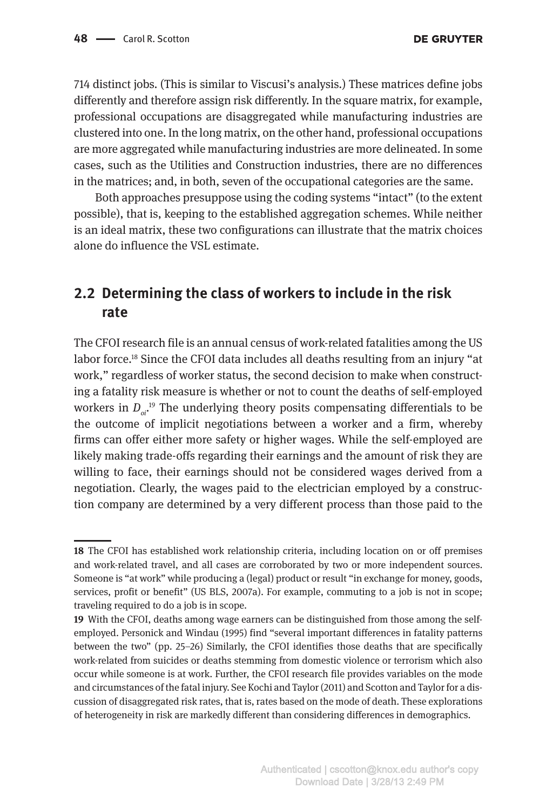714 distinct jobs. (This is similar to Viscusi's analysis.) These matrices define jobs differently and therefore assign risk differently. In the square matrix, for example, professional occupations are disaggregated while manufacturing industries are clustered into one. In the long matrix, on the other hand, professional occupations are more aggregated while manufacturing industries are more delineated. In some cases, such as the Utilities and Construction industries, there are no differences in the matrices; and, in both, seven of the occupational categories are the same.

Both approaches presuppose using the coding systems "intact" (to the extent possible), that is, keeping to the established aggregation schemes. While neither is an ideal matrix, these two configurations can illustrate that the matrix choices alone do influence the VSL estimate.

### **2.2 Determining the class of workers to include in the risk rate**

The CFOI research file is an annual census of work-related fatalities among the US labor force.<sup>18</sup> Since the CFOI data includes all deaths resulting from an injury "at work," regardless of worker status, the second decision to make when constructing a fatality risk measure is whether or not to count the deaths of self-employed workers in  $D_{oi}$ <sup>19</sup> The underlying theory posits compensating differentials to be the outcome of implicit negotiations between a worker and a firm, whereby firms can offer either more safety or higher wages. While the self-employed are likely making trade-offs regarding their earnings and the amount of risk they are willing to face, their earnings should not be considered wages derived from a negotiation. Clearly, the wages paid to the electrician employed by a construction company are determined by a very different process than those paid to the

**<sup>18</sup>** The CFOI has established work relationship criteria, including location on or off premises and work-related travel, and all cases are corroborated by two or more independent sources. Someone is "at work" while producing a (legal) product or result "in exchange for money, goods, services, profit or benefit" (US BLS, 2007a). For example, commuting to a job is not in scope; traveling required to do a job is in scope.

**<sup>19</sup>** With the CFOI, deaths among wage earners can be distinguished from those among the selfemployed. Personick and Windau (1995) find "several important differences in fatality patterns between the two" (pp. 25–26) Similarly, the CFOI identifies those deaths that are specifically work-related from suicides or deaths stemming from domestic violence or terrorism which also occur while someone is at work. Further, the CFOI research file provides variables on the mode and circumstances of the fatal injury. See Kochi and Taylor (2011) and Scotton and Taylor for a discussion of disaggregated risk rates, that is, rates based on the mode of death. These explorations of heterogeneity in risk are markedly different than considering differences in demographics.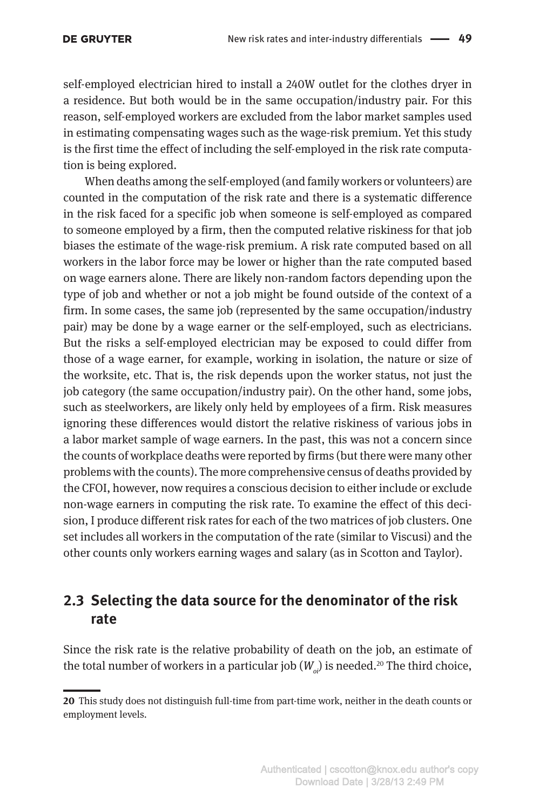self-employed electrician hired to install a 240W outlet for the clothes dryer in a residence. But both would be in the same occupation/industry pair. For this reason, self-employed workers are excluded from the labor market samples used in estimating compensating wages such as the wage-risk premium. Yet this study is the first time the effect of including the self-employed in the risk rate computation is being explored.

When deaths among the self-employed (and family workers or volunteers) are counted in the computation of the risk rate and there is a systematic difference in the risk faced for a specific job when someone is self-employed as compared to someone employed by a firm, then the computed relative riskiness for that job biases the estimate of the wage-risk premium. A risk rate computed based on all workers in the labor force may be lower or higher than the rate computed based on wage earners alone. There are likely non-random factors depending upon the type of job and whether or not a job might be found outside of the context of a firm. In some cases, the same job (represented by the same occupation/industry pair) may be done by a wage earner or the self-employed, such as electricians. But the risks a self-employed electrician may be exposed to could differ from those of a wage earner, for example, working in isolation, the nature or size of the worksite, etc. That is, the risk depends upon the worker status, not just the job category (the same occupation/industry pair). On the other hand, some jobs, such as steelworkers, are likely only held by employees of a firm. Risk measures ignoring these differences would distort the relative riskiness of various jobs in a labor market sample of wage earners. In the past, this was not a concern since the counts of workplace deaths were reported by firms (but there were many other problems with the counts). The more comprehensive census of deaths provided by the CFOI, however, now requires a conscious decision to either include or exclude non-wage earners in computing the risk rate. To examine the effect of this decision, I produce different risk rates for each of the two matrices of job clusters. One set includes all workers in the computation of the rate (similar to Viscusi) and the other counts only workers earning wages and salary (as in Scotton and Taylor).

### **2.3 Selecting the data source for the denominator of the risk rate**

Since the risk rate is the relative probability of death on the job, an estimate of the total number of workers in a particular job  $(W_{\alpha})$  is needed.<sup>20</sup> The third choice,

**<sup>20</sup>** This study does not distinguish full-time from part-time work, neither in the death counts or employment levels.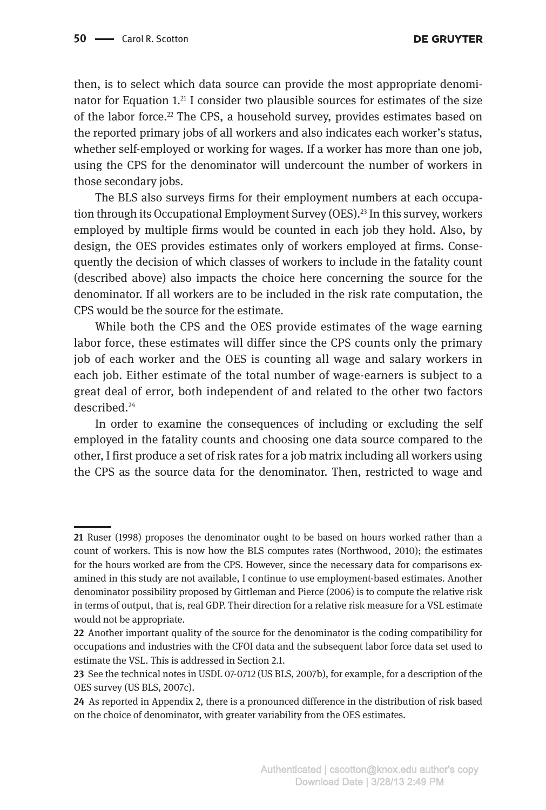then, is to select which data source can provide the most appropriate denominator for Equation  $1.^{21}$  I consider two plausible sources for estimates of the size of the labor force.<sup>22</sup> The CPS, a household survey, provides estimates based on the reported primary jobs of all workers and also indicates each worker's status, whether self-employed or working for wages. If a worker has more than one job, using the CPS for the denominator will undercount the number of workers in those secondary jobs.

The BLS also surveys firms for their employment numbers at each occupation through its Occupational Employment Survey (OES).23 In this survey, workers employed by multiple firms would be counted in each job they hold. Also, by design, the OES provides estimates only of workers employed at firms. Consequently the decision of which classes of workers to include in the fatality count (described above) also impacts the choice here concerning the source for the denominator. If all workers are to be included in the risk rate computation, the CPS would be the source for the estimate.

While both the CPS and the OES provide estimates of the wage earning labor force, these estimates will differ since the CPS counts only the primary job of each worker and the OES is counting all wage and salary workers in each job. Either estimate of the total number of wage-earners is subject to a great deal of error, both independent of and related to the other two factors described.24

In order to examine the consequences of including or excluding the self employed in the fatality counts and choosing one data source compared to the other, I first produce a set of risk rates for a job matrix including all workers using the CPS as the source data for the denominator. Then, restricted to wage and

**<sup>21</sup>** Ruser (1998) proposes the denominator ought to be based on hours worked rather than a count of workers. This is now how the BLS computes rates (Northwood, 2010); the estimates for the hours worked are from the CPS. However, since the necessary data for comparisons examined in this study are not available, I continue to use employment-based estimates. Another denominator possibility proposed by Gittleman and Pierce (2006) is to compute the relative risk in terms of output, that is, real GDP. Their direction for a relative risk measure for a VSL estimate would not be appropriate.

**<sup>22</sup>** Another important quality of the source for the denominator is the coding compatibility for occupations and industries with the CFOI data and the subsequent labor force data set used to estimate the VSL. This is addressed in Section 2.1.

**<sup>23</sup>** See the technical notes in USDL 07-0712 (US BLS, 2007b), for example, for a description of the OES survey (US BLS, 2007c).

**<sup>24</sup>** As reported in Appendix 2, there is a pronounced difference in the distribution of risk based on the choice of denominator, with greater variability from the OES estimates.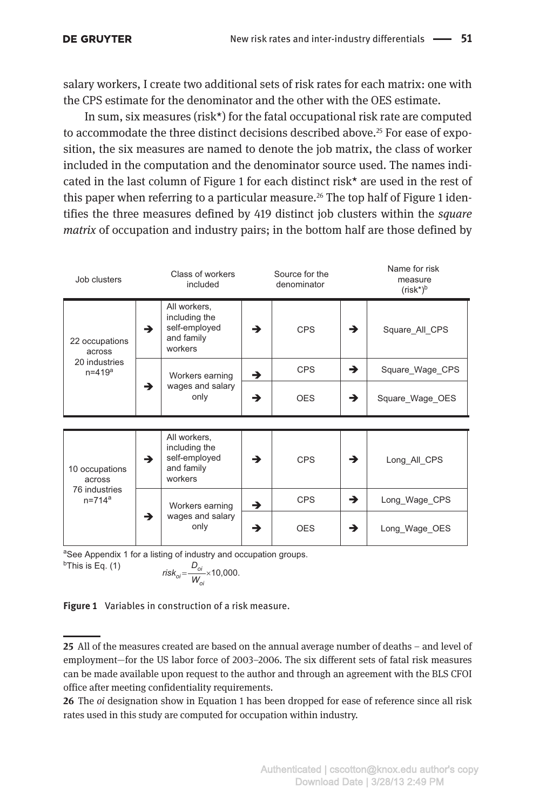salary workers, I create two additional sets of risk rates for each matrix: one with the CPS estimate for the denominator and the other with the OES estimate.

In sum, six measures (risk\*) for the fatal occupational risk rate are computed to accommodate the three distinct decisions described above.<sup>25</sup> For ease of exposition, the six measures are named to denote the job matrix, the class of worker included in the computation and the denominator source used. The names indicated in the last column of Figure 1 for each distinct risk\* are used in the rest of this paper when referring to a particular measure.<sup>26</sup> The top half of Figure 1 identifies the three measures defined by 419 distinct job clusters within the *square matrix* of occupation and industry pairs; in the bottom half are those defined by

| Job clusters                 |   | Class of workers<br>included                                            |   | Source for the<br>denominator |   | Name for risk<br>measure<br>$(risk*)b$ |
|------------------------------|---|-------------------------------------------------------------------------|---|-------------------------------|---|----------------------------------------|
| 22 occupations<br>across     | → | All workers,<br>including the<br>self-employed<br>and family<br>workers | → | <b>CPS</b>                    | → | Square All CPS                         |
| 20 industries<br>$n = 419a$  |   | Workers earning                                                         | → | <b>CPS</b>                    | → | Square Wage CPS                        |
|                              | → | wages and salary<br>only                                                | → | <b>OES</b>                    | → | Square Wage OES                        |
|                              |   |                                                                         |   |                               |   |                                        |
| 10 occupations<br>across     | → | All workers,<br>including the<br>self-employed<br>and family<br>workers | → | <b>CPS</b>                    | → | Long All CPS                           |
| 76 industries<br>$n = 714^a$ |   | Workers earning                                                         | → | <b>CPS</b>                    | → | Long Wage CPS                          |
|                              | → | wages and salary<br>only                                                | → | <b>OES</b>                    | → | Long Wage OES                          |

aSee Appendix 1 for a listing of industry and occupation groups.  $<sup>b</sup>$ This is Eq. (1)</sup> This is Eq. (1) <sup>×</sup>10,000. *Woi Doi riskoi* <sup>=</sup>

**<sup>25</sup>** All of the measures created are based on the annual average number of deaths – and level of employment—for the US labor force of 2003–2006. The six different sets of fatal risk measures can be made available upon request to the author and through an agreement with the BLS CFOI office after meeting confidentiality requirements.

**26** The *oi* designation show in Equation 1 has been dropped for ease of reference since all risk rates used in this study are computed for occupation within industry.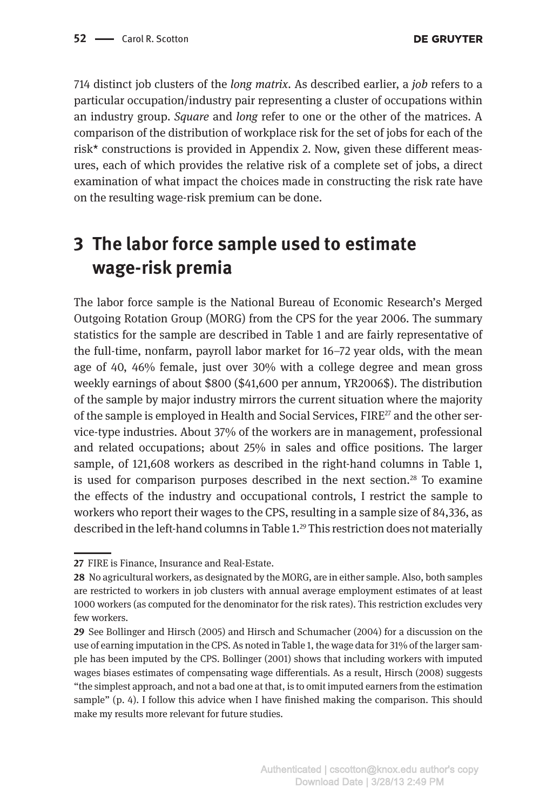714 distinct job clusters of the *long matrix*. As described earlier, a *job* refers to a particular occupation/industry pair representing a cluster of occupations within an industry group. *Square* and *long* refer to one or the other of the matrices. A comparison of the distribution of workplace risk for the set of jobs for each of the risk\* constructions is provided in Appendix 2. Now, given these different measures, each of which provides the relative risk of a complete set of jobs, a direct examination of what impact the choices made in constructing the risk rate have on the resulting wage-risk premium can be done.

## **3 The labor force sample used to estimate wage-risk premia**

The labor force sample is the National Bureau of Economic Research's Merged Outgoing Rotation Group (MORG) from the CPS for the year 2006. The summary statistics for the sample are described in Table 1 and are fairly representative of the full-time, nonfarm, payroll labor market for 16–72 year olds, with the mean age of 40, 46% female, just over 30% with a college degree and mean gross weekly earnings of about \$800 (\$41,600 per annum, YR2006\$). The distribution of the sample by major industry mirrors the current situation where the majority of the sample is employed in Health and Social Services, FIRE27 and the other service-type industries. About 37% of the workers are in management, professional and related occupations; about 25% in sales and office positions. The larger sample, of 121,608 workers as described in the right-hand columns in Table 1, is used for comparison purposes described in the next section.<sup>28</sup> To examine the effects of the industry and occupational controls, I restrict the sample to workers who report their wages to the CPS, resulting in a sample size of 84,336, as described in the left-hand columns in Table 1.<sup>29</sup> This restriction does not materially

**<sup>27</sup>** FIRE is Finance, Insurance and Real-Estate.

**<sup>28</sup>** No agricultural workers, as designated by the MORG, are in either sample. Also, both samples are restricted to workers in job clusters with annual average employment estimates of at least 1000 workers (as computed for the denominator for the risk rates). This restriction excludes very few workers.

**<sup>29</sup>** See Bollinger and Hirsch (2005) and Hirsch and Schumacher (2004) for a discussion on the use of earning imputation in the CPS. As noted in Table 1, the wage data for 31% of the larger sample has been imputed by the CPS. Bollinger (2001) shows that including workers with imputed wages biases estimates of compensating wage differentials. As a result, Hirsch (2008) suggests "the simplest approach, and not a bad one at that, is to omit imputed earners from the estimation sample" (p. 4). I follow this advice when I have finished making the comparison. This should make my results more relevant for future studies.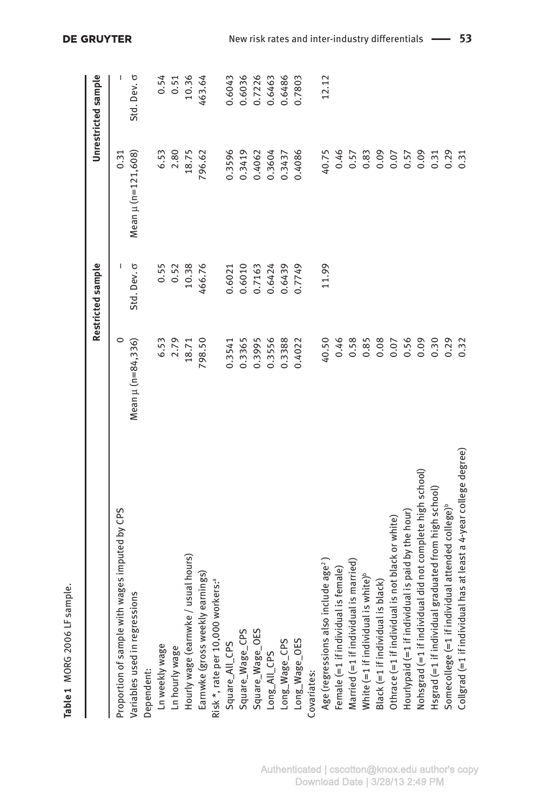|                     | 0.31               |                   | 0.32              | Collgrad (=1 if individual has at least a 4-year college degree)                                                                        |
|---------------------|--------------------|-------------------|-------------------|-----------------------------------------------------------------------------------------------------------------------------------------|
|                     | 0.29               |                   | 0.29              | Somecollege (=1 if individual attended college) <sup>b</sup>                                                                            |
|                     | 0.31               |                   | 0.30              | Hsgrad (=1 if individual graduated from high school)                                                                                    |
|                     | 0.09               |                   | 0.09              | Nohsgrad (=1 if individual did not complete high school)                                                                                |
|                     | 0.57               |                   | 0.56              | Hourlypaid (=1 if individual is paid by the hour)                                                                                       |
|                     | 0.07               |                   | 0.07              |                                                                                                                                         |
|                     | 0.09               |                   | 0.08              | White (=1 if individual is white) <sup>b</sup><br>Black (=1 if individual is black)<br>Othrace (=1 if individual is not black or white) |
|                     | 0.83               |                   | 0.85              |                                                                                                                                         |
|                     | 0.57               |                   | 0.58              |                                                                                                                                         |
|                     | 0.46               |                   | 0.46              |                                                                                                                                         |
| 12.12               | 40.75              | 11.99             | 40.50             | Age (regressions also include age <sup>2</sup> )<br>Female (=1 If individual is female)<br>Married (=1 If individual is married)        |
|                     |                    |                   |                   |                                                                                                                                         |
| 0.7803              | 0.4086             | 0.7749            | 0.4022            | Long_Wage_OES<br>Covariates:                                                                                                            |
| 0.6486              | 0.3437             | 0.6439            | 0.3388            | Long_Wage_CPS                                                                                                                           |
| 0.6463              | 0.3604             | 0.6424            | 0.3556            |                                                                                                                                         |
| 0.7226              | 0.4062             | 0.7163            | 0.3995            |                                                                                                                                         |
| 0.6036              | 0.3419             | 0.6010            | 0.3365            |                                                                                                                                         |
| 0.6043              | 0.3596             | 0.6021            | 0.3541            |                                                                                                                                         |
|                     |                    |                   |                   | workers: <sup>a</sup><br>Risk *, rate per 10,000 w<br>Square_All_CPS<br>Square_Wage_CPS<br>Square_Wage_OES<br>Square_Wage_OES           |
| 463.64              | 796.62             | 466.76            | 798.50            | Earnwke (gross weekly earnings)                                                                                                         |
| 10.36               | 18.75              | 10.38             | 18.71             |                                                                                                                                         |
| 0.51                | 2.80               | 0.52              | 2.79              |                                                                                                                                         |
| 0.54                | 6.53               | 0.55              | 6.53              | Ln weekly wage<br>Ln hourly wage<br>Hourly wage (earnwke / usual hours)                                                                 |
|                     |                    |                   |                   | Dependent:                                                                                                                              |
| Std. Dev. o         | Mean µ (n=121,608) | Std. Dev. o       | Mean µ (n=84,336) | Variables used in regressions                                                                                                           |
|                     | 0.31               |                   | $\circ$           | Proportion of sample with wages imputed by CPS                                                                                          |
| Unrestricted sample |                    | Restricted sample |                   |                                                                                                                                         |

**Table 1** MORG 2006 LF sample.

Table 1 MORG 2006 LF sample.

Authenticated | cscotton@knox.edu author's copy Download Date | 3/28/13 2:49 PM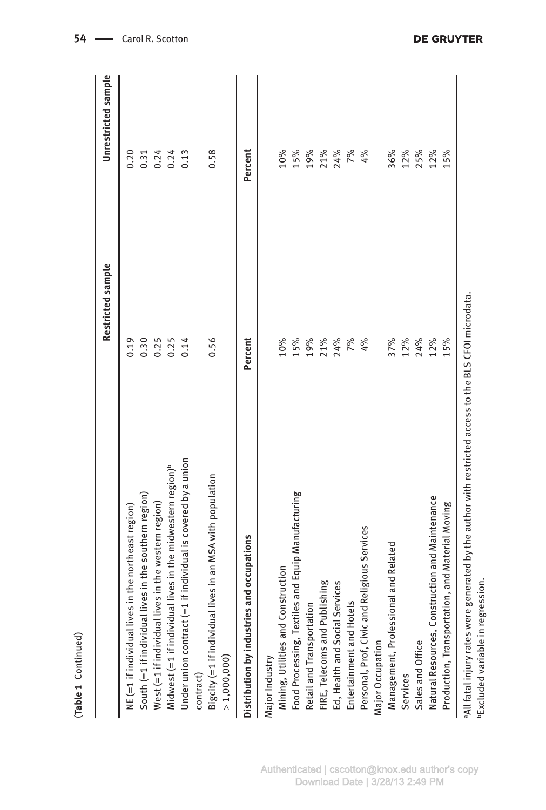| (Table 1 Continued)                                                                                                                              |                   |                         |
|--------------------------------------------------------------------------------------------------------------------------------------------------|-------------------|-------------------------|
|                                                                                                                                                  | Restricted sample | Unrestricted sample     |
| $NE (= 1$ if individual lives in the northeast region)                                                                                           | 0.19              | 0.20                    |
| South (=1 if individual lives in the southern region)                                                                                            | 0.30              | 0.31                    |
| West (=1 if individual lives in the western region)<br>Midwest (=1 if individual lives in the midwestern region) <sup>b</sup>                    | 0.25              |                         |
|                                                                                                                                                  | 0.25              | $0.24$<br>$0.24$        |
| Under union contract (=1 if individual is covered by a union<br>contract)                                                                        | 0.14              | 0.13                    |
| Bigcity (=1 If individual lives in an MSA with population<br>>1,000,000)                                                                         | 0.56              | 0.58                    |
| Distribution by industries and occupations                                                                                                       | Percent           | Percent                 |
| Major Industry                                                                                                                                   |                   |                         |
| Mining, Utilities and Construction                                                                                                               | 10%               | 10%                     |
|                                                                                                                                                  | 15%               |                         |
| Food Processing, Textiles and Equip Manufacturing<br>Retail and Transportation                                                                   | 19%               |                         |
| Publishing<br>FIRE, Telecoms and                                                                                                                 | $21\%$<br>$24\%$  | 15%<br>19%<br>21%<br>7% |
| Ed, Health and Social Services                                                                                                                   |                   |                         |
| Hotels<br>Entertainment and                                                                                                                      | 7%                |                         |
| Personal, Prof, Civic and Religious Services                                                                                                     | 4%                | 4%                      |
| Major Occupation                                                                                                                                 |                   |                         |
| Management, Professional and Related                                                                                                             | 37%               | 36%                     |
| Services                                                                                                                                         | 12%               | 12%                     |
| Sales and Office                                                                                                                                 | 24%               | 25%                     |
| Natural Resources, Construction and Maintenance                                                                                                  | 12%               | 12%                     |
| Production, Transportation, and Material Moving                                                                                                  | 15%               | 15%                     |
| All fatal injury rates were generated by the author with restricted access to the BLS CFOI microdata.<br><b>Excluded variable in regression.</b> |                   |                         |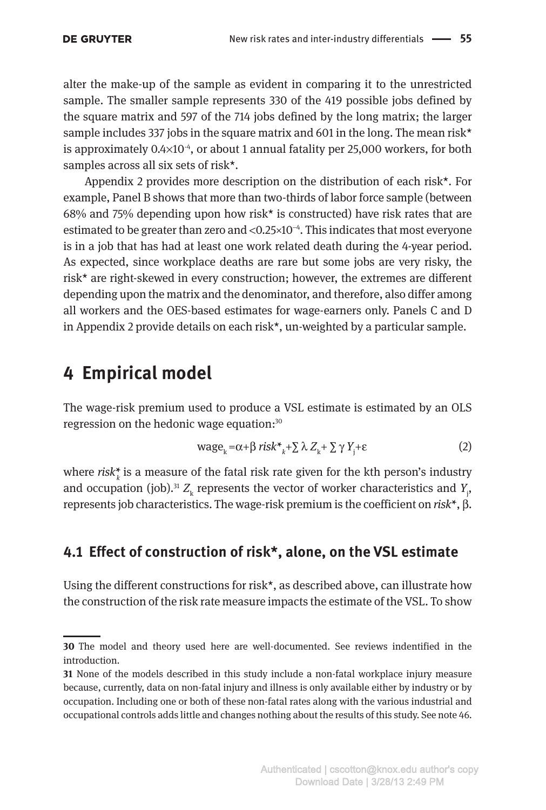alter the make-up of the sample as evident in comparing it to the unrestricted sample. The smaller sample represents 330 of the 419 possible jobs defined by the square matrix and 597 of the 714 jobs defined by the long matrix; the larger sample includes 337 jobs in the square matrix and 601 in the long. The mean risk<sup>\*</sup> is approximately  $0.4\times10^{-4}$ , or about 1 annual fatality per 25,000 workers, for both samples across all six sets of risk\*.

Appendix 2 provides more description on the distribution of each risk\*. For example, Panel B shows that more than two-thirds of labor force sample (between 68% and 75% depending upon how risk<sup>\*</sup> is constructed) have risk rates that are estimated to be greater than zero and <0.25×10-<sup>4</sup> . This indicates that most everyone is in a job that has had at least one work related death during the 4-year period. As expected, since workplace deaths are rare but some jobs are very risky, the risk\* are right-skewed in every construction; however, the extremes are different depending upon the matrix and the denominator, and therefore, also differ among all workers and the OES-based estimates for wage-earners only. Panels C and D in Appendix 2 provide details on each risk\*, un-weighted by a particular sample.

### **4 Empirical model**

The wage-risk premium used to produce a VSL estimate is estimated by an OLS regression on the hedonic wage equation:30

$$
wage_k = \alpha + \beta \ risk^*_{k} + \sum \lambda Z_k + \sum \gamma Y_j + \varepsilon
$$
 (2)

where *risk*\* is a measure of the fatal risk rate given for the kth person's industry and occupation (job).<sup>31</sup>  $Z_k$  represents the vector of worker characteristics and  $Y_j$ , represents job characteristics. The wage-risk premium is the coefficient on *risk\**, β.

### **4.1 Effect of construction of risk\*, alone, on the VSL estimate**

Using the different constructions for risk\*, as described above, can illustrate how the construction of the risk rate measure impacts the estimate of the VSL. To show

**<sup>30</sup>** The model and theory used here are well-documented. See reviews indentified in the introduction.

**<sup>31</sup>** None of the models described in this study include a non-fatal workplace injury measure because, currently, data on non-fatal injury and illness is only available either by industry or by occupation. Including one or both of these non-fatal rates along with the various industrial and occupational controls adds little and changes nothing about the results of this study. See note 46.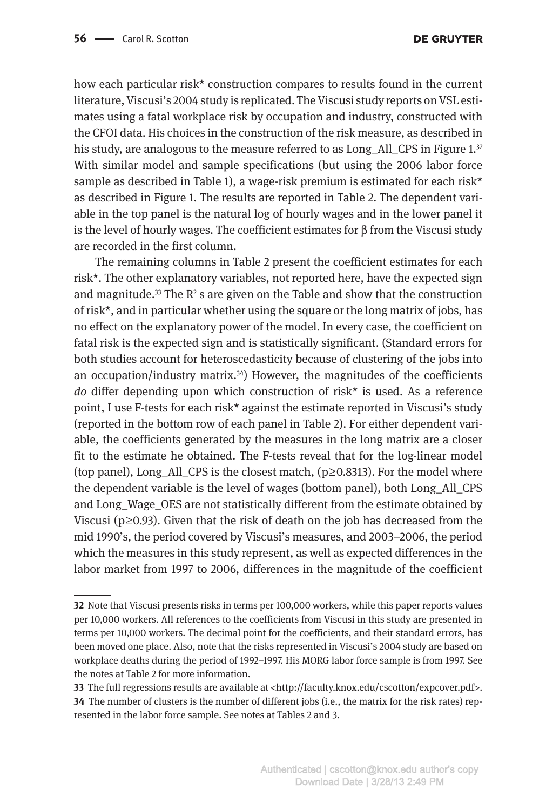how each particular risk\* construction compares to results found in the current literature, Viscusi's 2004 study is replicated. The Viscusi study reports on VSL estimates using a fatal workplace risk by occupation and industry, constructed with the CFOI data. His choices in the construction of the risk measure, as described in his study, are analogous to the measure referred to as Long\_All\_CPS in Figure  $1.^32$ With similar model and sample specifications (but using the 2006 labor force sample as described in Table 1), a wage-risk premium is estimated for each risk<sup>\*</sup> as described in Figure 1. The results are reported in Table 2. The dependent variable in the top panel is the natural log of hourly wages and in the lower panel it is the level of hourly wages. The coefficient estimates for β from the Viscusi study are recorded in the first column.

The remaining columns in Table 2 present the coefficient estimates for each risk\*. The other explanatory variables, not reported here, have the expected sign and magnitude.<sup>33</sup> The  $\mathbb{R}^2$  s are given on the Table and show that the construction of risk\*, and in particular whether using the square or the long matrix of jobs, has no effect on the explanatory power of the model. In every case, the coefficient on fatal risk is the expected sign and is statistically significant. (Standard errors for both studies account for heteroscedasticity because of clustering of the jobs into an occupation/industry matrix.<sup>34</sup>) However, the magnitudes of the coefficients *do* differ depending upon which construction of risk\* is used. As a reference point, I use F-tests for each risk\* against the estimate reported in Viscusi's study (reported in the bottom row of each panel in Table 2). For either dependent variable, the coefficients generated by the measures in the long matrix are a closer fit to the estimate he obtained. The F-tests reveal that for the log-linear model (top panel), Long\_All\_CPS is the closest match,  $(p \ge 0.8313)$ . For the model where the dependent variable is the level of wages (bottom panel), both Long\_All\_CPS and Long\_Wage\_OES are not statistically different from the estimate obtained by Viscusi ( $p \ge 0.93$ ). Given that the risk of death on the job has decreased from the mid 1990's, the period covered by Viscusi's measures, and 2003–2006, the period which the measures in this study represent, as well as expected differences in the labor market from 1997 to 2006, differences in the magnitude of the coefficient

**<sup>32</sup>** Note that Viscusi presents risks in terms per 100,000 workers, while this paper reports values per 10,000 workers. All references to the coefficients from Viscusi in this study are presented in terms per 10,000 workers. The decimal point for the coefficients, and their standard errors, has been moved one place. Also, note that the risks represented in Viscusi's 2004 study are based on workplace deaths during the period of 1992–1997. His MORG labor force sample is from 1997. See the notes at Table 2 for more information.

**<sup>33</sup>** The full regressions results are available at <http://faculty.knox.edu/cscotton/expcover.pdf>. **34** The number of clusters is the number of different jobs (i.e., the matrix for the risk rates) represented in the labor force sample. See notes at Tables 2 and 3.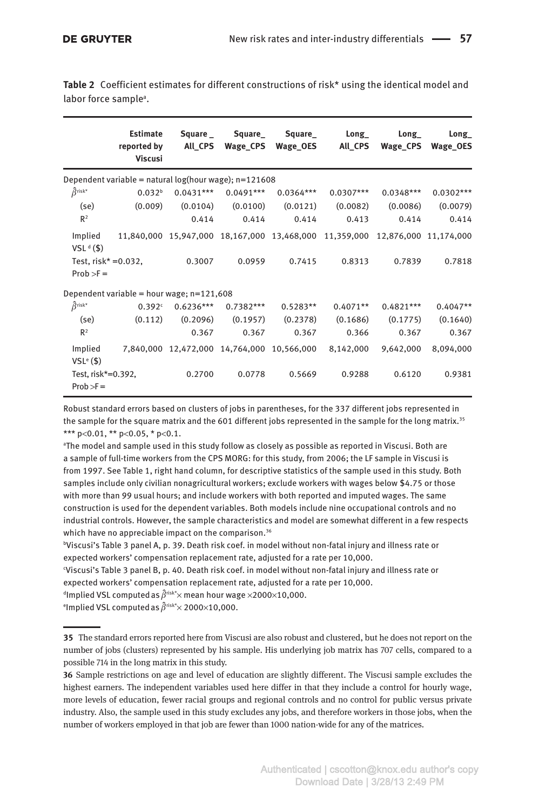|                                         | <b>Estimate</b><br>reported by<br>Viscusi                | Square _<br>All CPS | Square_     | Square_<br>Wage_CPS Wage_OES               | Long<br>All CPS                                                              | Long<br>Wage_CPS | $Long_$<br>Wage_OES |
|-----------------------------------------|----------------------------------------------------------|---------------------|-------------|--------------------------------------------|------------------------------------------------------------------------------|------------------|---------------------|
|                                         | Dependent variable = natural $log(hour wage)$ ; n=121608 |                     |             |                                            |                                                                              |                  |                     |
| $\widehat{\beta}$ risk*                 | 0.032 <sup>b</sup>                                       | $0.0431***$         | $0.0491***$ | $0.0364***$                                | $0.0307***$                                                                  | $0.0348***$      | $0.0302***$         |
| (se)                                    | (0.009)                                                  | (0.0104)            | (0.0100)    | (0.0121)                                   | (0.0082)                                                                     | (0.0086)         | (0.0079)            |
| R <sup>2</sup>                          |                                                          | 0.414               | 0.414       | 0.414                                      | 0.413                                                                        | 0.414            | 0.414               |
| Implied<br>$VSLd(\$)$                   |                                                          |                     |             |                                            | 11,840,000 15,947,000 18,167,000 13,468,000 11,359,000 12,876,000 11,174,000 |                  |                     |
| Test, $risk* = 0.032$ ,<br>$Prob > F =$ |                                                          | 0.3007              | 0.0959      | 0.7415                                     | 0.8313                                                                       | 0.7839           | 0.7818              |
|                                         | Dependent variable = hour wage; $n=121,608$              |                     |             |                                            |                                                                              |                  |                     |
| $\hat{\beta}$ risk*                     | 0.392c                                                   | $0.6236***$         | $0.7382***$ | $0.5283**$                                 | $0.4071**$                                                                   | $0.4821***$      | $0.4047**$          |
| (se)                                    | (0.112)                                                  | (0.2096)            | (0.1957)    | (0.2378)                                   | (0.1686)                                                                     | (0.1775)         | (0.1640)            |
| R <sup>2</sup>                          |                                                          | 0.367               | 0.367       | 0.367                                      | 0.366                                                                        | 0.367            | 0.367               |
| Implied<br>$VSLe(\$)$                   |                                                          |                     |             | 7,840,000 12,472,000 14,764,000 10,566,000 | 8,142,000                                                                    | 9,642,000        | 8,094,000           |
| Test, risk*=0.392,<br>$Prob > F =$      |                                                          | 0.2700              | 0.0778      | 0.5669                                     | 0.9288                                                                       | 0.6120           | 0.9381              |

**Table 2** Coefficient estimates for different constructions of risk\* using the identical model and labor force sample<sup>a</sup>.

Robust standard errors based on clusters of jobs in parentheses, for the 337 different jobs represented in the sample for the square matrix and the 601 different jobs represented in the sample for the long matrix.<sup>35</sup> \*\*\*  $p<0.01$ , \*\*  $p<0.05$ , \*  $p<0.1$ .

a The model and sample used in this study follow as closely as possible as reported in Viscusi. Both are a sample of full-time workers from the CPS MORG: for this study, from 2006; the LF sample in Viscusi is from 1997. See Table 1, right hand column, for descriptive statistics of the sample used in this study. Both samples include only civilian nonagricultural workers; exclude workers with wages below \$4.75 or those with more than 99 usual hours; and include workers with both reported and imputed wages. The same construction is used for the dependent variables. Both models include nine occupational controls and no industrial controls. However, the sample characteristics and model are somewhat different in a few respects which have no appreciable impact on the comparison.<sup>36</sup>

b Viscusi's Table 3 panel A, p. 39. Death risk coef. in model without non-fatal injury and illness rate or expected workers' compensation replacement rate, adjusted for a rate per 10,000.

c Viscusi's Table 3 panel B, p. 40. Death risk coef. in model without non-fatal injury and illness rate or expected workers' compensation replacement rate, adjusted for a rate per 10,000.

dImplied VSL computed as  $\hat{\beta}^{\text{risk}*} \times$  mean hour wage  $\times 2000 \times 10,000$ .

°Implied VSL computed as  $\beta^{\text{risk}*} \!\times$  2000 $\!\times$ 10,000.

**<sup>35</sup>** The standard errors reported here from Viscusi are also robust and clustered, but he does not report on the number of jobs (clusters) represented by his sample. His underlying job matrix has 707 cells, compared to a possible 714 in the long matrix in this study.

**<sup>36</sup>** Sample restrictions on age and level of education are slightly different. The Viscusi sample excludes the highest earners. The independent variables used here differ in that they include a control for hourly wage, more levels of education, fewer racial groups and regional controls and no control for public versus private industry. Also, the sample used in this study excludes any jobs, and therefore workers in those jobs, when the number of workers employed in that job are fewer than 1000 nation-wide for any of the matrices.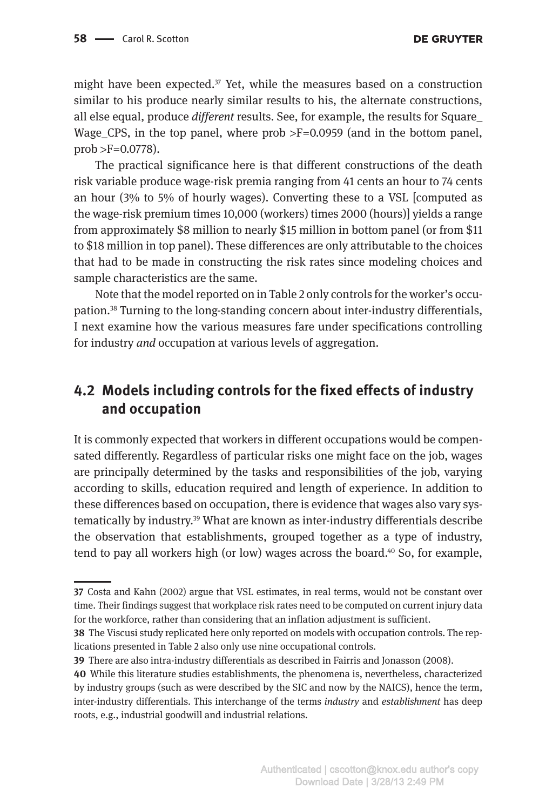might have been expected.<sup>37</sup> Yet, while the measures based on a construction similar to his produce nearly similar results to his, the alternate constructions, all else equal, produce *different* results. See, for example, the results for Square\_ Wage\_CPS, in the top panel, where prob >F=0.0959 (and in the bottom panel, prob >F=0.0778).

The practical significance here is that different constructions of the death risk variable produce wage-risk premia ranging from 41 cents an hour to 74 cents an hour (3% to 5% of hourly wages). Converting these to a VSL [computed as the wage-risk premium times 10,000 (workers) times 2000 (hours)] yields a range from approximately \$8 million to nearly \$15 million in bottom panel (or from \$11 to \$18 million in top panel). These differences are only attributable to the choices that had to be made in constructing the risk rates since modeling choices and sample characteristics are the same.

Note that the model reported on in Table 2 only controls for the worker's occupation.38 Turning to the long-standing concern about inter-industry differentials, I next examine how the various measures fare under specifications controlling for industry *and* occupation at various levels of aggregation.

### **4.2 Models including controls for the fixed effects of industry and occupation**

It is commonly expected that workers in different occupations would be compensated differently. Regardless of particular risks one might face on the job, wages are principally determined by the tasks and responsibilities of the job, varying according to skills, education required and length of experience. In addition to these differences based on occupation, there is evidence that wages also vary systematically by industry.39 What are known as inter-industry differentials describe the observation that establishments, grouped together as a type of industry, tend to pay all workers high (or low) wages across the board.<sup>40</sup> So, for example,

**<sup>37</sup>** Costa and Kahn (2002) argue that VSL estimates, in real terms, would not be constant over time. Their findings suggest that workplace risk rates need to be computed on current injury data for the workforce, rather than considering that an inflation adjustment is sufficient.

**<sup>38</sup>** The Viscusi study replicated here only reported on models with occupation controls. The replications presented in Table 2 also only use nine occupational controls.

**<sup>39</sup>** There are also intra-industry differentials as described in Fairris and Jonasson (2008).

**<sup>40</sup>** While this literature studies establishments, the phenomena is, nevertheless, characterized by industry groups (such as were described by the SIC and now by the NAICS), hence the term, inter-industry differentials. This interchange of the terms *industry* and *establishment* has deep roots, e.g., industrial goodwill and industrial relations.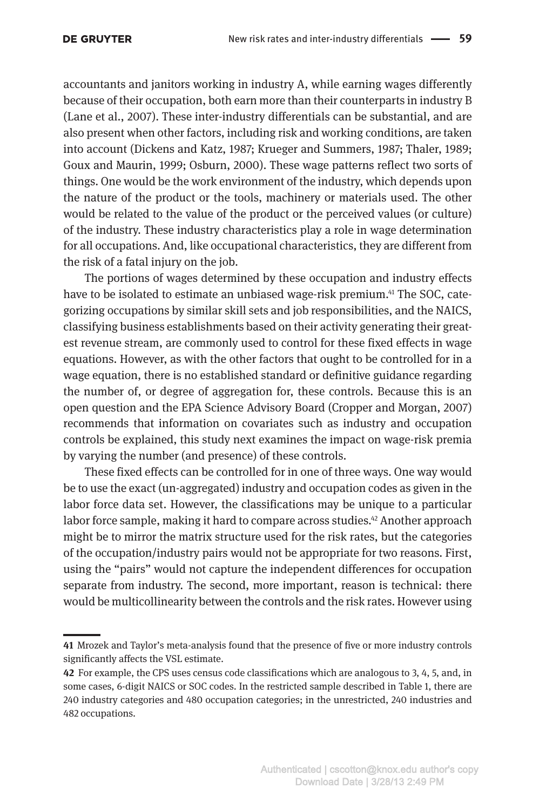accountants and janitors working in industry A, while earning wages differently because of their occupation, both earn more than their counterparts in industry B (Lane et al., 2007). These inter-industry differentials can be substantial, and are also present when other factors, including risk and working conditions, are taken into account (Dickens and Katz, 1987; Krueger and Summers, 1987; Thaler, 1989; Goux and Maurin, 1999; Osburn, 2000). These wage patterns reflect two sorts of things. One would be the work environment of the industry, which depends upon the nature of the product or the tools, machinery or materials used. The other would be related to the value of the product or the perceived values (or culture) of the industry. These industry characteristics play a role in wage determination for all occupations. And, like occupational characteristics, they are different from the risk of a fatal injury on the job.

The portions of wages determined by these occupation and industry effects have to be isolated to estimate an unbiased wage-risk premium.<sup>41</sup> The SOC, categorizing occupations by similar skill sets and job responsibilities, and the NAICS, classifying business establishments based on their activity generating their greatest revenue stream, are commonly used to control for these fixed effects in wage equations. However, as with the other factors that ought to be controlled for in a wage equation, there is no established standard or definitive guidance regarding the number of, or degree of aggregation for, these controls. Because this is an open question and the EPA Science Advisory Board (Cropper and Morgan, 2007) recommends that information on covariates such as industry and occupation controls be explained, this study next examines the impact on wage-risk premia by varying the number (and presence) of these controls.

These fixed effects can be controlled for in one of three ways. One way would be to use the exact (un-aggregated) industry and occupation codes as given in the labor force data set. However, the classifications may be unique to a particular labor force sample, making it hard to compare across studies.<sup>42</sup> Another approach might be to mirror the matrix structure used for the risk rates, but the categories of the occupation/industry pairs would not be appropriate for two reasons. First, using the "pairs" would not capture the independent differences for occupation separate from industry. The second, more important, reason is technical: there would be multicollinearity between the controls and the risk rates. However using

**<sup>41</sup>** Mrozek and Taylor's meta-analysis found that the presence of five or more industry controls significantly affects the VSL estimate.

**<sup>42</sup>** For example, the CPS uses census code classifications which are analogous to 3, 4, 5, and, in some cases, 6-digit NAICS or SOC codes. In the restricted sample described in Table 1, there are 240 industry categories and 480 occupation categories; in the unrestricted, 240 industries and 482 occupations.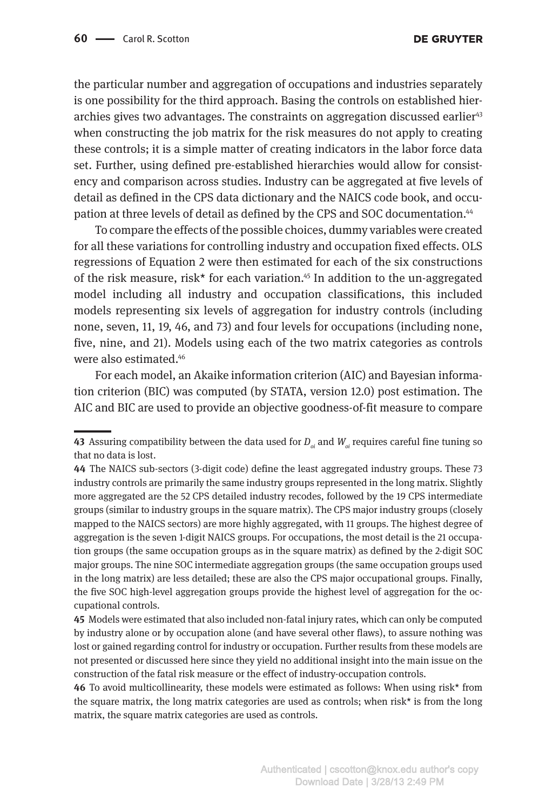the particular number and aggregation of occupations and industries separately is one possibility for the third approach. Basing the controls on established hierarchies gives two advantages. The constraints on aggregation discussed earlier $43$ when constructing the job matrix for the risk measures do not apply to creating these controls; it is a simple matter of creating indicators in the labor force data set. Further, using defined pre-established hierarchies would allow for consistency and comparison across studies. Industry can be aggregated at five levels of detail as defined in the CPS data dictionary and the NAICS code book, and occupation at three levels of detail as defined by the CPS and SOC documentation.<sup>44</sup>

To compare the effects of the possible choices, dummy variables were created for all these variations for controlling industry and occupation fixed effects. OLS regressions of Equation 2 were then estimated for each of the six constructions of the risk measure, risk\* for each variation.<sup>45</sup> In addition to the un-aggregated model including all industry and occupation classifications, this included models representing six levels of aggregation for industry controls (including none, seven, 11, 19, 46, and 73) and four levels for occupations (including none, five, nine, and 21). Models using each of the two matrix categories as controls were also estimated.46

For each model, an Akaike information criterion (AIC) and Bayesian information criterion (BIC) was computed (by STATA, version 12.0) post estimation. The AIC and BIC are used to provide an objective goodness-of-fit measure to compare

**<sup>43</sup>** Assuring compatibility between the data used for  $D_{\alpha}$  and  $W_{\alpha}$  requires careful fine tuning so that no data is lost.

**<sup>44</sup>** The NAICS sub-sectors (3-digit code) define the least aggregated industry groups. These 73 industry controls are primarily the same industry groups represented in the long matrix. Slightly more aggregated are the 52 CPS detailed industry recodes, followed by the 19 CPS intermediate groups (similar to industry groups in the square matrix). The CPS major industry groups (closely mapped to the NAICS sectors) are more highly aggregated, with 11 groups. The highest degree of aggregation is the seven 1-digit NAICS groups. For occupations, the most detail is the 21 occupation groups (the same occupation groups as in the square matrix) as defined by the 2-digit SOC major groups. The nine SOC intermediate aggregation groups (the same occupation groups used in the long matrix) are less detailed; these are also the CPS major occupational groups. Finally, the five SOC high-level aggregation groups provide the highest level of aggregation for the occupational controls.

**<sup>45</sup>** Models were estimated that also included non-fatal injury rates, which can only be computed by industry alone or by occupation alone (and have several other flaws), to assure nothing was lost or gained regarding control for industry or occupation. Further results from these models are not presented or discussed here since they yield no additional insight into the main issue on the construction of the fatal risk measure or the effect of industry-occupation controls.

**<sup>46</sup>** To avoid multicollinearity, these models were estimated as follows: When using risk\* from the square matrix, the long matrix categories are used as controls; when risk\* is from the long matrix, the square matrix categories are used as controls.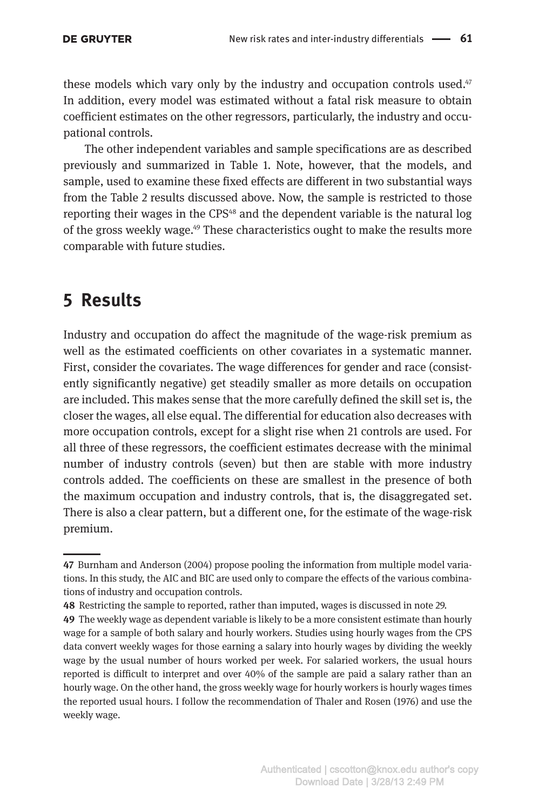these models which vary only by the industry and occupation controls used.<sup>47</sup> In addition, every model was estimated without a fatal risk measure to obtain coefficient estimates on the other regressors, particularly, the industry and occupational controls.

The other independent variables and sample specifications are as described previously and summarized in Table 1. Note, however, that the models, and sample, used to examine these fixed effects are different in two substantial ways from the Table 2 results discussed above. Now, the sample is restricted to those reporting their wages in the CPS<sup>48</sup> and the dependent variable is the natural log of the gross weekly wage.<sup>49</sup> These characteristics ought to make the results more comparable with future studies.

## **5 Results**

Industry and occupation do affect the magnitude of the wage-risk premium as well as the estimated coefficients on other covariates in a systematic manner. First, consider the covariates. The wage differences for gender and race (consistently significantly negative) get steadily smaller as more details on occupation are included. This makes sense that the more carefully defined the skill set is, the closer the wages, all else equal. The differential for education also decreases with more occupation controls, except for a slight rise when 21 controls are used. For all three of these regressors, the coefficient estimates decrease with the minimal number of industry controls (seven) but then are stable with more industry controls added. The coefficients on these are smallest in the presence of both the maximum occupation and industry controls, that is, the disaggregated set. There is also a clear pattern, but a different one, for the estimate of the wage-risk premium.

**<sup>47</sup>** Burnham and Anderson (2004) propose pooling the information from multiple model variations. In this study, the AIC and BIC are used only to compare the effects of the various combinations of industry and occupation controls.

**<sup>48</sup>** Restricting the sample to reported, rather than imputed, wages is discussed in note 29.

**<sup>49</sup>** The weekly wage as dependent variable is likely to be a more consistent estimate than hourly wage for a sample of both salary and hourly workers. Studies using hourly wages from the CPS data convert weekly wages for those earning a salary into hourly wages by dividing the weekly wage by the usual number of hours worked per week. For salaried workers, the usual hours reported is difficult to interpret and over 40% of the sample are paid a salary rather than an hourly wage. On the other hand, the gross weekly wage for hourly workers is hourly wages times the reported usual hours. I follow the recommendation of Thaler and Rosen (1976) and use the weekly wage.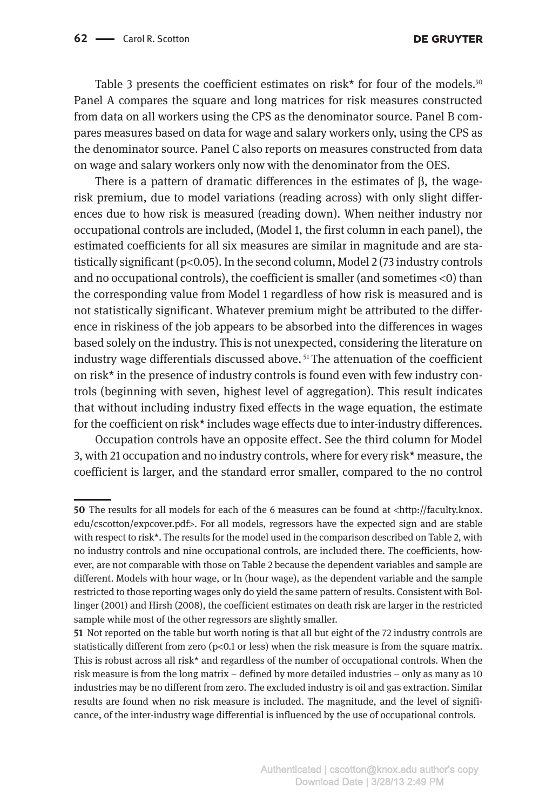Table 3 presents the coefficient estimates on risk\* for four of the models.<sup>50</sup> Panel A compares the square and long matrices for risk measures constructed from data on all workers using the CPS as the denominator source. Panel B compares measures based on data for wage and salary workers only, using the CPS as the denominator source. Panel C also reports on measures constructed from data on wage and salary workers only now with the denominator from the OES.

There is a pattern of dramatic differences in the estimates of β, the wagerisk premium, due to model variations (reading across) with only slight differences due to how risk is measured (reading down). When neither industry nor occupational controls are included, (Model 1, the first column in each panel), the estimated coefficients for all six measures are similar in magnitude and are statistically significant ( $p<0.05$ ). In the second column, Model 2 (73 industry controls and no occupational controls), the coefficient is smaller (and sometimes <0) than the corresponding value from Model 1 regardless of how risk is measured and is not statistically significant. Whatever premium might be attributed to the difference in riskiness of the job appears to be absorbed into the differences in wages based solely on the industry. This is not unexpected, considering the literature on industry wage differentials discussed above.  $51$  The attenuation of the coefficient on risk\* in the presence of industry controls is found even with few industry controls (beginning with seven, highest level of aggregation). This result indicates that without including industry fixed effects in the wage equation, the estimate for the coefficient on risk\* includes wage effects due to inter-industry differences.

Occupation controls have an opposite effect. See the third column for Model 3, with 21 occupation and no industry controls, where for every risk\* measure, the coefficient is larger, and the standard error smaller, compared to the no control

**<sup>50</sup>** The results for all models for each of the 6 measures can be found at <http://faculty.knox. edu/cscotton/expcover.pdf>. For all models, regressors have the expected sign and are stable with respect to risk\*. The results for the model used in the comparison described on Table 2, with no industry controls and nine occupational controls, are included there. The coefficients, however, are not comparable with those on Table 2 because the dependent variables and sample are different. Models with hour wage, or ln (hour wage), as the dependent variable and the sample restricted to those reporting wages only do yield the same pattern of results. Consistent with Bollinger (2001) and Hirsh (2008), the coefficient estimates on death risk are larger in the restricted sample while most of the other regressors are slightly smaller.

**<sup>51</sup>** Not reported on the table but worth noting is that all but eight of the 72 industry controls are statistically different from zero ( $p<0.1$  or less) when the risk measure is from the square matrix. This is robust across all risk\* and regardless of the number of occupational controls. When the risk measure is from the long matrix – defined by more detailed industries – only as many as 10 industries may be no different from zero. The excluded industry is oil and gas extraction. Similar results are found when no risk measure is included. The magnitude, and the level of significance, of the inter-industry wage differential is influenced by the use of occupational controls.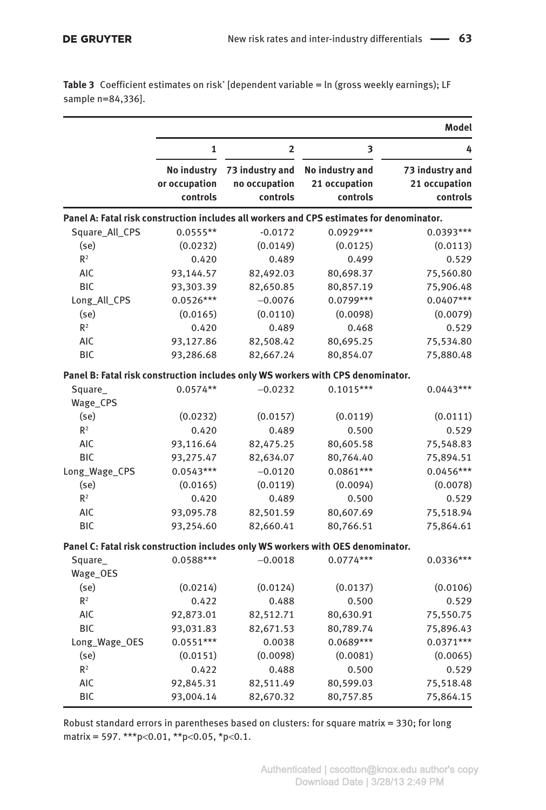|                                                                                          |                                          |                                              |                                              | Model                                        |
|------------------------------------------------------------------------------------------|------------------------------------------|----------------------------------------------|----------------------------------------------|----------------------------------------------|
|                                                                                          | 1                                        | $\overline{2}$                               | 3                                            | 4                                            |
|                                                                                          | No industry<br>or occupation<br>controls | 73 industry and<br>no occupation<br>controls | No industry and<br>21 occupation<br>controls | 73 industry and<br>21 occupation<br>controls |
| Panel A: Fatal risk construction includes all workers and CPS estimates for denominator. |                                          |                                              |                                              |                                              |
| Square_All_CPS                                                                           | $0.0555**$                               | $-0.0172$                                    | $0.0929***$                                  | 0.0393***                                    |
| (se)                                                                                     | (0.0232)                                 | (0.0149)                                     | (0.0125)                                     | (0.0113)                                     |
| R <sup>2</sup>                                                                           | 0.420                                    | 0.489                                        | 0.499                                        | 0.529                                        |
| <b>AIC</b>                                                                               | 93,144.57                                | 82,492.03                                    | 80,698.37                                    | 75,560.80                                    |
| <b>BIC</b>                                                                               | 93,303.39                                | 82,650.85                                    | 80,857.19                                    | 75,906.48                                    |
| Long_All_CPS                                                                             | $0.0526***$                              | $-0.0076$                                    | $0.0799***$                                  | $0.0407***$                                  |
| (se)                                                                                     | (0.0165)                                 | (0.0110)                                     | (0.0098)                                     | (0.0079)                                     |
| R <sup>2</sup>                                                                           | 0.420                                    | 0.489                                        | 0.468                                        | 0.529                                        |
| <b>AIC</b>                                                                               | 93,127.86                                | 82,508.42                                    | 80,695.25                                    | 75,534.80                                    |
| <b>BIC</b>                                                                               | 93,286.68                                | 82,667.24                                    | 80,854.07                                    | 75,880.48                                    |
| Panel B: Fatal risk construction includes only WS workers with CPS denominator.          |                                          |                                              |                                              |                                              |
| Square_<br>Wage_CPS                                                                      | $0.0574**$                               | $-0.0232$                                    | $0.1015***$                                  | $0.0443***$                                  |
| (se)                                                                                     | (0.0232)                                 | (0.0157)                                     | (0.0119)                                     | (0.0111)                                     |
| R <sup>2</sup>                                                                           | 0.420                                    | 0.489                                        | 0.500                                        | 0.529                                        |
| <b>AIC</b>                                                                               | 93,116.64                                | 82,475.25                                    | 80,605.58                                    | 75,548.83                                    |
| <b>BIC</b>                                                                               | 93,275.47                                | 82,634.07                                    | 80,764.40                                    | 75,894.51                                    |
| Long_Wage_CPS                                                                            | $0.0543***$                              | $-0.0120$                                    | $0.0861***$                                  | $0.0456***$                                  |
| (se)                                                                                     | (0.0165)                                 | (0.0119)                                     | (0.0094)                                     | (0.0078)                                     |
| R <sup>2</sup>                                                                           | 0.420                                    | 0.489                                        | 0.500                                        | 0.529                                        |
| <b>AIC</b>                                                                               | 93,095.78                                | 82,501.59                                    | 80,607.69                                    | 75,518.94                                    |
| <b>BIC</b>                                                                               | 93,254.60                                | 82,660.41                                    | 80,766.51                                    | 75,864.61                                    |
| Panel C: Fatal risk construction includes only WS workers with OES denominator.          |                                          |                                              |                                              |                                              |
| Square_<br>Wage_OES                                                                      | $0.0588***$                              | $-0.0018$                                    | $0.0774***$                                  | $0.0336***$                                  |
| (se)                                                                                     | (0.0214)                                 | (0.0124)                                     | (0.0137)                                     | (0.0106)                                     |
| R <sup>2</sup>                                                                           | 0.422                                    | 0.488                                        | 0.500                                        | 0.529                                        |
| <b>AIC</b>                                                                               | 92,873.01                                | 82,512.71                                    | 80,630.91                                    | 75,550.75                                    |
| <b>BIC</b>                                                                               | 93,031.83                                | 82,671.53                                    | 80,789.74                                    | 75,896.43                                    |
| Long_Wage_OES                                                                            | $0.0551***$                              | 0.0038                                       | $0.0689***$                                  | $0.0371***$                                  |
| (se)                                                                                     | (0.0151)                                 | (0.0098)                                     | (0.0081)                                     | (0.0065)                                     |
| R <sup>2</sup>                                                                           | 0.422                                    | 0.488                                        | 0.500                                        | 0.529                                        |
| <b>AIC</b>                                                                               | 92,845.31                                | 82,511.49                                    | 80,599.03                                    | 75,518.48                                    |
| <b>BIC</b>                                                                               | 93,004.14                                | 82,670.32                                    | 80,757.85                                    | 75,864.15                                    |

**Table 3** Coefficient estimates on risk\* [dependent variable = ln (gross weekly earnings); LF sample n=84,336].

Robust standard errors in parentheses based on clusters: for square matrix = 330; for long matrix = 597. \*\*\*  $p < 0.01$ , \*\* $p < 0.05$ , \* $p < 0.1$ .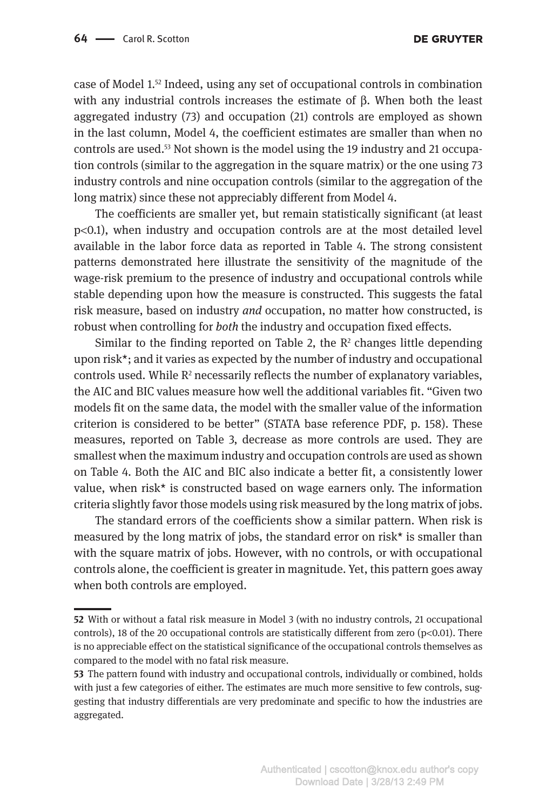case of Model 1.52 Indeed, using any set of occupational controls in combination with any industrial controls increases the estimate of β. When both the least aggregated industry (73) and occupation (21) controls are employed as shown in the last column, Model 4, the coefficient estimates are smaller than when no controls are used.53 Not shown is the model using the 19 industry and 21 occupation controls (similar to the aggregation in the square matrix) or the one using 73 industry controls and nine occupation controls (similar to the aggregation of the long matrix) since these not appreciably different from Model 4.

The coefficients are smaller yet, but remain statistically significant (at least  $p<0.1$ ), when industry and occupation controls are at the most detailed level available in the labor force data as reported in Table 4. The strong consistent patterns demonstrated here illustrate the sensitivity of the magnitude of the wage-risk premium to the presence of industry and occupational controls while stable depending upon how the measure is constructed. This suggests the fatal risk measure, based on industry *and* occupation, no matter how constructed, is robust when controlling for *both* the industry and occupation fixed effects.

Similar to the finding reported on Table 2, the  $\mathbb{R}^2$  changes little depending upon risk\*; and it varies as expected by the number of industry and occupational controls used. While  $\mathbb{R}^2$  necessarily reflects the number of explanatory variables, the AIC and BIC values measure how well the additional variables fit. "Given two models fit on the same data, the model with the smaller value of the information criterion is considered to be better" (STATA base reference PDF, p. 158). These measures, reported on Table 3, decrease as more controls are used. They are smallest when the maximum industry and occupation controls are used as shown on Table 4. Both the AIC and BIC also indicate a better fit, a consistently lower value, when risk\* is constructed based on wage earners only. The information criteria slightly favor those models using risk measured by the long matrix of jobs.

The standard errors of the coefficients show a similar pattern. When risk is measured by the long matrix of jobs, the standard error on risk\* is smaller than with the square matrix of jobs. However, with no controls, or with occupational controls alone, the coefficient is greater in magnitude. Yet, this pattern goes away when both controls are employed.

**<sup>52</sup>** With or without a fatal risk measure in Model 3 (with no industry controls, 21 occupational controls), 18 of the 20 occupational controls are statistically different from zero  $(p<0.01)$ . There is no appreciable effect on the statistical significance of the occupational controls themselves as compared to the model with no fatal risk measure.

**<sup>53</sup>** The pattern found with industry and occupational controls, individually or combined, holds with just a few categories of either. The estimates are much more sensitive to few controls, suggesting that industry differentials are very predominate and specific to how the industries are aggregated.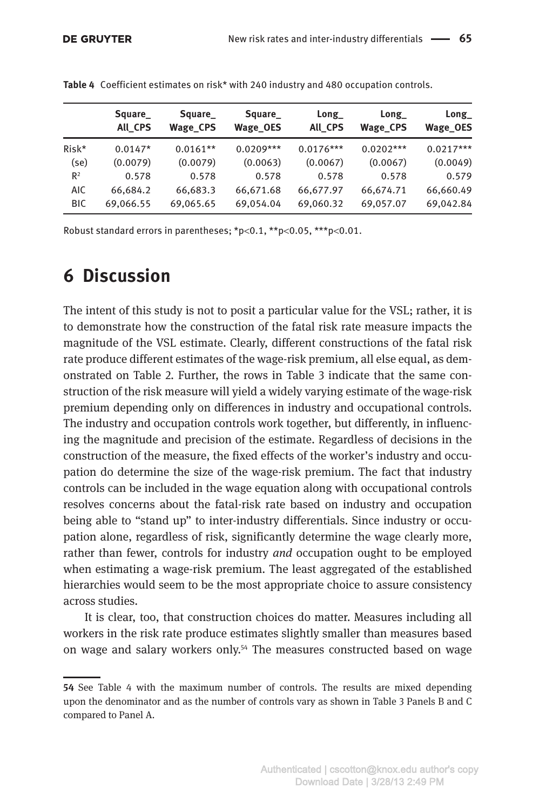|                | Square<br>All CPS | Square<br>Wage_CPS | Square<br>Wage_OES | Long<br>All CPS | Long<br><b>Wage CPS</b> | Long<br>Wage_OES |
|----------------|-------------------|--------------------|--------------------|-----------------|-------------------------|------------------|
| $Risk*$        | $0.0147*$         | $0.0161**$         | $0.0209***$        | $0.0176***$     | $0.0202***$             | $0.0217***$      |
| (se)           | (0.0079)          | (0.0079)           | (0.0063)           | (0.0067)        | (0.0067)                | (0.0049)         |
| R <sup>2</sup> | 0.578             | 0.578              | 0.578              | 0.578           | 0.578                   | 0.579            |
| AIC            | 66,684.2          | 66,683.3           | 66,671.68          | 66,677.97       | 66,674.71               | 66,660.49        |
| <b>BIC</b>     | 69,066.55         | 69,065.65          | 69,054.04          | 69,060.32       | 69,057.07               | 69,042.84        |

**Table 4** Coefficient estimates on risk\* with 240 industry and 480 occupation controls.

Robust standard errors in parentheses; \*p<0.1, \*\*p<0.05, \*\*\*p<0.01.

### **6 Discussion**

The intent of this study is not to posit a particular value for the VSL; rather, it is to demonstrate how the construction of the fatal risk rate measure impacts the magnitude of the VSL estimate. Clearly, different constructions of the fatal risk rate produce different estimates of the wage-risk premium, all else equal, as demonstrated on Table 2. Further, the rows in Table 3 indicate that the same construction of the risk measure will yield a widely varying estimate of the wage-risk premium depending only on differences in industry and occupational controls. The industry and occupation controls work together, but differently, in influencing the magnitude and precision of the estimate. Regardless of decisions in the construction of the measure, the fixed effects of the worker's industry and occupation do determine the size of the wage-risk premium. The fact that industry controls can be included in the wage equation along with occupational controls resolves concerns about the fatal-risk rate based on industry and occupation being able to "stand up" to inter-industry differentials. Since industry or occupation alone, regardless of risk, significantly determine the wage clearly more, rather than fewer, controls for industry *and* occupation ought to be employed when estimating a wage-risk premium. The least aggregated of the established hierarchies would seem to be the most appropriate choice to assure consistency across studies.

It is clear, too, that construction choices do matter. Measures including all workers in the risk rate produce estimates slightly smaller than measures based on wage and salary workers only.<sup>54</sup> The measures constructed based on wage

Authenticated | cscotton@knox.edu author's copy Download Date | 3/28/13 2:49 PM

**<sup>54</sup>** See Table 4 with the maximum number of controls. The results are mixed depending upon the denominator and as the number of controls vary as shown in Table 3 Panels B and C compared to Panel A.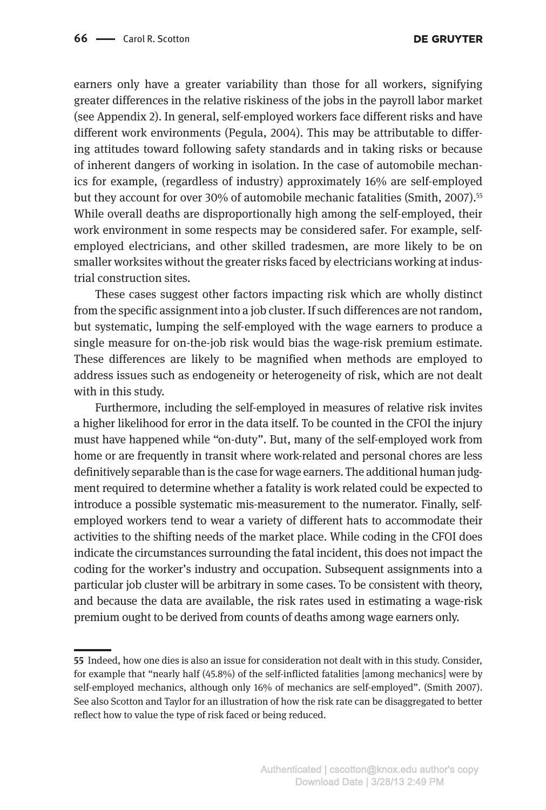earners only have a greater variability than those for all workers, signifying greater differences in the relative riskiness of the jobs in the payroll labor market (see Appendix 2). In general, self-employed workers face different risks and have different work environments (Pegula, 2004). This may be attributable to differing attitudes toward following safety standards and in taking risks or because of inherent dangers of working in isolation. In the case of automobile mechanics for example, (regardless of industry) approximately 16% are self-employed but they account for over 30% of automobile mechanic fatalities (Smith, 2007).<sup>55</sup> While overall deaths are disproportionally high among the self-employed, their work environment in some respects may be considered safer. For example, selfemployed electricians, and other skilled tradesmen, are more likely to be on smaller worksites without the greater risks faced by electricians working at industrial construction sites.

These cases suggest other factors impacting risk which are wholly distinct from the specific assignment into a job cluster. If such differences are not random, but systematic, lumping the self-employed with the wage earners to produce a single measure for on-the-job risk would bias the wage-risk premium estimate. These differences are likely to be magnified when methods are employed to address issues such as endogeneity or heterogeneity of risk, which are not dealt with in this study.

Furthermore, including the self-employed in measures of relative risk invites a higher likelihood for error in the data itself. To be counted in the CFOI the injury must have happened while "on-duty". But, many of the self-employed work from home or are frequently in transit where work-related and personal chores are less definitively separable than is the case for wage earners. The additional human judgment required to determine whether a fatality is work related could be expected to introduce a possible systematic mis-measurement to the numerator. Finally, selfemployed workers tend to wear a variety of different hats to accommodate their activities to the shifting needs of the market place. While coding in the CFOI does indicate the circumstances surrounding the fatal incident, this does not impact the coding for the worker's industry and occupation. Subsequent assignments into a particular job cluster will be arbitrary in some cases. To be consistent with theory, and because the data are available, the risk rates used in estimating a wage-risk premium ought to be derived from counts of deaths among wage earners only.

**<sup>55</sup>** Indeed, how one dies is also an issue for consideration not dealt with in this study. Consider, for example that "nearly half (45.8%) of the self-inflicted fatalities [among mechanics] were by self-employed mechanics, although only 16% of mechanics are self-employed". (Smith 2007). See also Scotton and Taylor for an illustration of how the risk rate can be disaggregated to better reflect how to value the type of risk faced or being reduced.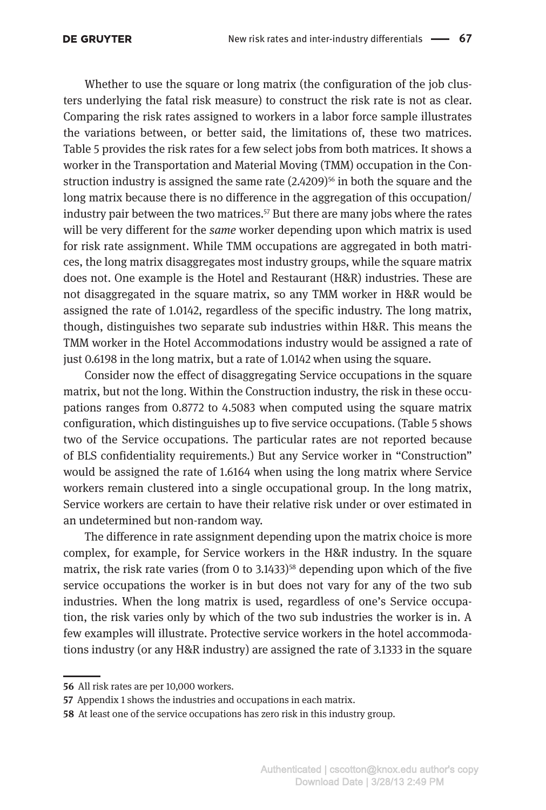Whether to use the square or long matrix (the configuration of the job clusters underlying the fatal risk measure) to construct the risk rate is not as clear. Comparing the risk rates assigned to workers in a labor force sample illustrates the variations between, or better said, the limitations of, these two matrices. Table 5 provides the risk rates for a few select jobs from both matrices. It shows a worker in the Transportation and Material Moving (TMM) occupation in the Construction industry is assigned the same rate  $(2.4209)^{56}$  in both the square and the long matrix because there is no difference in the aggregation of this occupation/ industry pair between the two matrices.<sup>57</sup> But there are many jobs where the rates will be very different for the *same* worker depending upon which matrix is used for risk rate assignment. While TMM occupations are aggregated in both matrices, the long matrix disaggregates most industry groups, while the square matrix does not. One example is the Hotel and Restaurant (H&R) industries. These are not disaggregated in the square matrix, so any TMM worker in H&R would be assigned the rate of 1.0142, regardless of the specific industry. The long matrix, though, distinguishes two separate sub industries within H&R. This means the TMM worker in the Hotel Accommodations industry would be assigned a rate of just 0.6198 in the long matrix, but a rate of 1.0142 when using the square.

Consider now the effect of disaggregating Service occupations in the square matrix, but not the long. Within the Construction industry, the risk in these occupations ranges from 0.8772 to 4.5083 when computed using the square matrix configuration, which distinguishes up to five service occupations. (Table 5 shows two of the Service occupations. The particular rates are not reported because of BLS confidentiality requirements.) But any Service worker in "Construction" would be assigned the rate of 1.6164 when using the long matrix where Service workers remain clustered into a single occupational group. In the long matrix, Service workers are certain to have their relative risk under or over estimated in an undetermined but non-random way.

The difference in rate assignment depending upon the matrix choice is more complex, for example, for Service workers in the H&R industry. In the square matrix, the risk rate varies (from 0 to 3.1433)<sup>58</sup> depending upon which of the five service occupations the worker is in but does not vary for any of the two sub industries. When the long matrix is used, regardless of one's Service occupation, the risk varies only by which of the two sub industries the worker is in. A few examples will illustrate. Protective service workers in the hotel accommodations industry (or any H&R industry) are assigned the rate of 3.1333 in the square

**<sup>56</sup>** All risk rates are per 10,000 workers.

**<sup>57</sup>** Appendix 1 shows the industries and occupations in each matrix.

**<sup>58</sup>** At least one of the service occupations has zero risk in this industry group.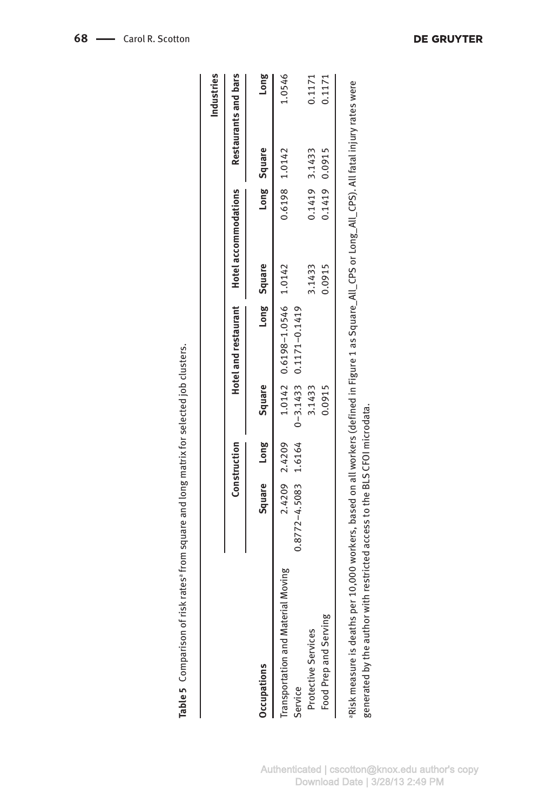|                                                                                                                                                                                                                                                                                                                                                              |                                                                                                                                                                                                                                                                                                                                                                                                                                   |              |        |                                                         |             |                      |               | Industries           |
|--------------------------------------------------------------------------------------------------------------------------------------------------------------------------------------------------------------------------------------------------------------------------------------------------------------------------------------------------------------|-----------------------------------------------------------------------------------------------------------------------------------------------------------------------------------------------------------------------------------------------------------------------------------------------------------------------------------------------------------------------------------------------------------------------------------|--------------|--------|---------------------------------------------------------|-------------|----------------------|---------------|----------------------|
|                                                                                                                                                                                                                                                                                                                                                              |                                                                                                                                                                                                                                                                                                                                                                                                                                   | Construction |        | Hotel and restaurant                                    |             | Hotel accommodations |               | Restaurants and bars |
| <b>Occupations</b>                                                                                                                                                                                                                                                                                                                                           |                                                                                                                                                                                                                                                                                                                                                                                                                                   | Square Long  | Square |                                                         | Long Square |                      | Long Square   | Long                 |
| Transportation and Material Moving                                                                                                                                                                                                                                                                                                                           |                                                                                                                                                                                                                                                                                                                                                                                                                                   |              |        | 2.4209 2.4209 1.0142 0.6198-1.0546 1.0142               |             | 0.6198 1.0142        |               | 1.0546               |
| Service                                                                                                                                                                                                                                                                                                                                                      |                                                                                                                                                                                                                                                                                                                                                                                                                                   |              |        | $0.8772 - 4.5083$ $1.6164$ $0-3.1433$ $0.1171 - 0.1419$ |             |                      |               |                      |
| Protective Services                                                                                                                                                                                                                                                                                                                                          |                                                                                                                                                                                                                                                                                                                                                                                                                                   |              | 3.1433 |                                                         | 3.1433      |                      | 0.1419 3.1433 | 0.1171               |
| Food Prep and Serving                                                                                                                                                                                                                                                                                                                                        |                                                                                                                                                                                                                                                                                                                                                                                                                                   |              | 0.0915 |                                                         | 0.0915      |                      | 0.1419 0.0915 | 0.1171               |
| $\begin{bmatrix} 1 & 1 & 1 \\ 1 & 1 & 1 \\ 1 & 1 & 1 \\ 1 & 1 & 1 \\ 1 & 1 & 1 \\ 1 & 1 & 1 \\ 1 & 1 & 1 \\ 1 & 1 & 1 \\ 1 & 1 & 1 \\ 1 & 1 & 1 \\ 1 & 1 & 1 \\ 1 & 1 & 1 \\ 1 & 1 & 1 \\ 1 & 1 & 1 \\ 1 & 1 & 1 & 1 \\ 1 & 1 & 1 & 1 \\ 1 & 1 & 1 & 1 \\ 1 & 1 & 1 & 1 \\ 1 & 1 & 1 & 1 \\ 1 & 1 & 1 & 1 \\ 1 & 1 & 1 & 1 \\ 1 & $<br>Risk measure is deatl | hs per 10,000 workers, based on all workers (defined in Figure 1 as Square_All_CPS or Long_All_CPS). All fatal injury rates were<br>$\frac{1}{2}$ and $\frac{1}{2}$ and $\frac{1}{2}$ and $\frac{1}{2}$ and $\frac{1}{2}$ and $\frac{1}{2}$ and $\frac{1}{2}$ and $\frac{1}{2}$ and $\frac{1}{2}$ and $\frac{1}{2}$ and $\frac{1}{2}$ and $\frac{1}{2}$ and $\frac{1}{2}$ and $\frac{1}{2}$ and $\frac{1}{2}$ and $\frac{1}{2}$ a |              |        |                                                         |             |                      |               |                      |

**Table 5** Comparison of risk ratesa from square and long matrix for selected job clusters.

Table 5 Comparison of risk rates<sup>®</sup> from square and long matrix for selected job clusters.

generated by the author with restricted access to the BLS CFOI microdata. generated by the author with restricted access to the BLS CFOI microdata.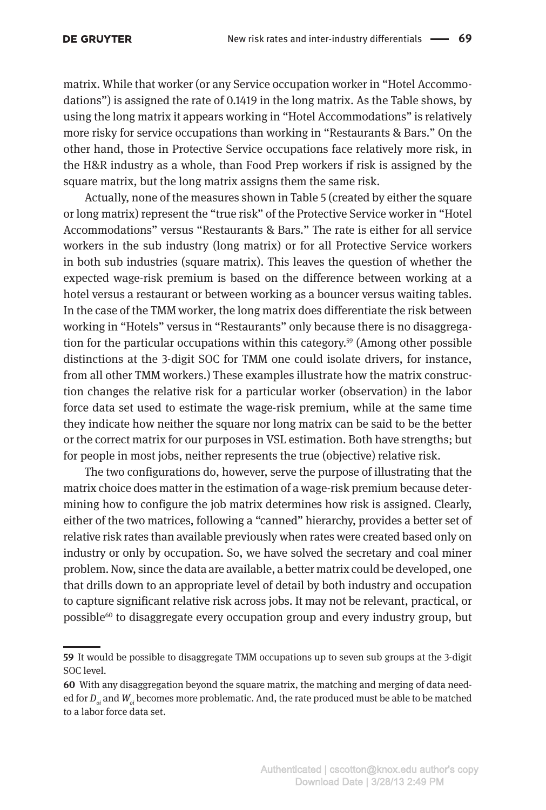matrix. While that worker (or any Service occupation worker in "Hotel Accommodations") is assigned the rate of 0.1419 in the long matrix. As the Table shows, by using the long matrix it appears working in "Hotel Accommodations" is relatively more risky for service occupations than working in "Restaurants & Bars." On the other hand, those in Protective Service occupations face relatively more risk, in the H&R industry as a whole, than Food Prep workers if risk is assigned by the square matrix, but the long matrix assigns them the same risk.

Actually, none of the measures shown in Table 5 (created by either the square or long matrix) represent the "true risk" of the Protective Service worker in "Hotel Accommodations" versus "Restaurants & Bars." The rate is either for all service workers in the sub industry (long matrix) or for all Protective Service workers in both sub industries (square matrix). This leaves the question of whether the expected wage-risk premium is based on the difference between working at a hotel versus a restaurant or between working as a bouncer versus waiting tables. In the case of the TMM worker, the long matrix does differentiate the risk between working in "Hotels" versus in "Restaurants" only because there is no disaggregation for the particular occupations within this category.<sup>59</sup> (Among other possible distinctions at the 3-digit SOC for TMM one could isolate drivers, for instance, from all other TMM workers.) These examples illustrate how the matrix construction changes the relative risk for a particular worker (observation) in the labor force data set used to estimate the wage-risk premium, while at the same time they indicate how neither the square nor long matrix can be said to be the better or the correct matrix for our purposes in VSL estimation. Both have strengths; but for people in most jobs, neither represents the true (objective) relative risk.

The two configurations do, however, serve the purpose of illustrating that the matrix choice does matter in the estimation of a wage-risk premium because determining how to configure the job matrix determines how risk is assigned. Clearly, either of the two matrices, following a "canned" hierarchy, provides a better set of relative risk rates than available previously when rates were created based only on industry or only by occupation. So, we have solved the secretary and coal miner problem. Now, since the data are available, a better matrix could be developed, one that drills down to an appropriate level of detail by both industry and occupation to capture significant relative risk across jobs. It may not be relevant, practical, or possible<sup>60</sup> to disaggregate every occupation group and every industry group, but

**<sup>59</sup>** It would be possible to disaggregate TMM occupations up to seven sub groups at the 3-digit SOC level.

**<sup>60</sup>** With any disaggregation beyond the square matrix, the matching and merging of data needed for *D<sub>oi</sub>* and *W<sub>o</sub>* becomes more problematic. And, the rate produced must be able to be matched to a labor force data set.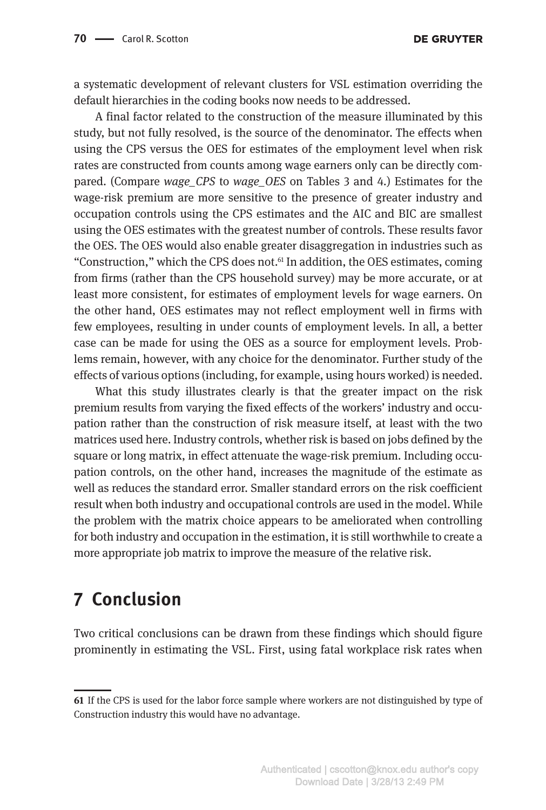**DE GRUYTER** 

a systematic development of relevant clusters for VSL estimation overriding the default hierarchies in the coding books now needs to be addressed.

A final factor related to the construction of the measure illuminated by this study, but not fully resolved, is the source of the denominator. The effects when using the CPS versus the OES for estimates of the employment level when risk rates are constructed from counts among wage earners only can be directly compared. (Compare *wage\_CPS* to *wage\_OES* on Tables 3 and 4.) Estimates for the wage-risk premium are more sensitive to the presence of greater industry and occupation controls using the CPS estimates and the AIC and BIC are smallest using the OES estimates with the greatest number of controls. These results favor the OES. The OES would also enable greater disaggregation in industries such as "Construction," which the CPS does not.61 In addition, the OES estimates, coming from firms (rather than the CPS household survey) may be more accurate, or at least more consistent, for estimates of employment levels for wage earners. On the other hand, OES estimates may not reflect employment well in firms with few employees, resulting in under counts of employment levels. In all, a better case can be made for using the OES as a source for employment levels. Problems remain, however, with any choice for the denominator. Further study of the effects of various options (including, for example, using hours worked) is needed.

What this study illustrates clearly is that the greater impact on the risk premium results from varying the fixed effects of the workers' industry and occupation rather than the construction of risk measure itself, at least with the two matrices used here. Industry controls, whether risk is based on jobs defined by the square or long matrix, in effect attenuate the wage-risk premium. Including occupation controls, on the other hand, increases the magnitude of the estimate as well as reduces the standard error. Smaller standard errors on the risk coefficient result when both industry and occupational controls are used in the model. While the problem with the matrix choice appears to be ameliorated when controlling for both industry and occupation in the estimation, it is still worthwhile to create a more appropriate job matrix to improve the measure of the relative risk.

## **7 Conclusion**

Two critical conclusions can be drawn from these findings which should figure prominently in estimating the VSL. First, using fatal workplace risk rates when

**<sup>61</sup>** If the CPS is used for the labor force sample where workers are not distinguished by type of Construction industry this would have no advantage.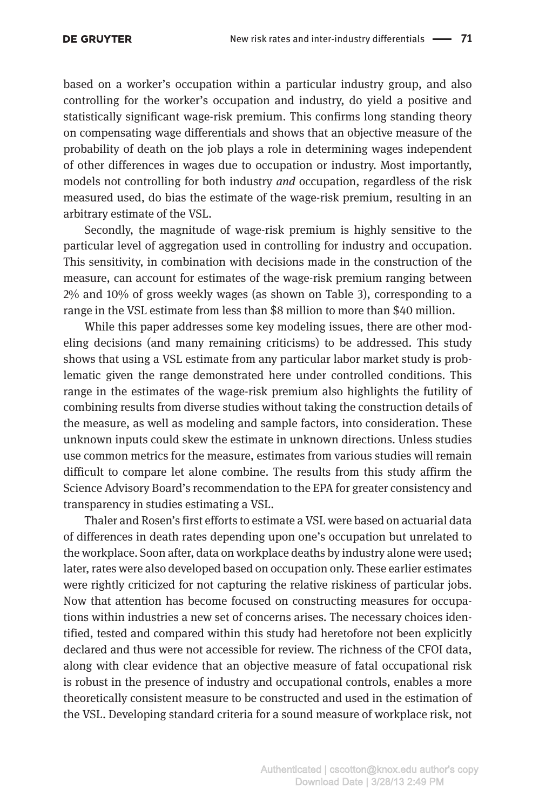based on a worker's occupation within a particular industry group, and also controlling for the worker's occupation and industry, do yield a positive and statistically significant wage-risk premium. This confirms long standing theory on compensating wage differentials and shows that an objective measure of the probability of death on the job plays a role in determining wages independent of other differences in wages due to occupation or industry. Most importantly, models not controlling for both industry *and* occupation, regardless of the risk measured used, do bias the estimate of the wage-risk premium, resulting in an arbitrary estimate of the VSL.

Secondly, the magnitude of wage-risk premium is highly sensitive to the particular level of aggregation used in controlling for industry and occupation. This sensitivity, in combination with decisions made in the construction of the measure, can account for estimates of the wage-risk premium ranging between 2% and 10% of gross weekly wages (as shown on Table 3), corresponding to a range in the VSL estimate from less than \$8 million to more than \$40 million.

While this paper addresses some key modeling issues, there are other modeling decisions (and many remaining criticisms) to be addressed. This study shows that using a VSL estimate from any particular labor market study is problematic given the range demonstrated here under controlled conditions. This range in the estimates of the wage-risk premium also highlights the futility of combining results from diverse studies without taking the construction details of the measure, as well as modeling and sample factors, into consideration. These unknown inputs could skew the estimate in unknown directions. Unless studies use common metrics for the measure, estimates from various studies will remain difficult to compare let alone combine. The results from this study affirm the Science Advisory Board's recommendation to the EPA for greater consistency and transparency in studies estimating a VSL.

Thaler and Rosen's first efforts to estimate a VSL were based on actuarial data of differences in death rates depending upon one's occupation but unrelated to the workplace. Soon after, data on workplace deaths by industry alone were used; later, rates were also developed based on occupation only. These earlier estimates were rightly criticized for not capturing the relative riskiness of particular jobs. Now that attention has become focused on constructing measures for occupations within industries a new set of concerns arises. The necessary choices identified, tested and compared within this study had heretofore not been explicitly declared and thus were not accessible for review. The richness of the CFOI data, along with clear evidence that an objective measure of fatal occupational risk is robust in the presence of industry and occupational controls, enables a more theoretically consistent measure to be constructed and used in the estimation of the VSL. Developing standard criteria for a sound measure of workplace risk, not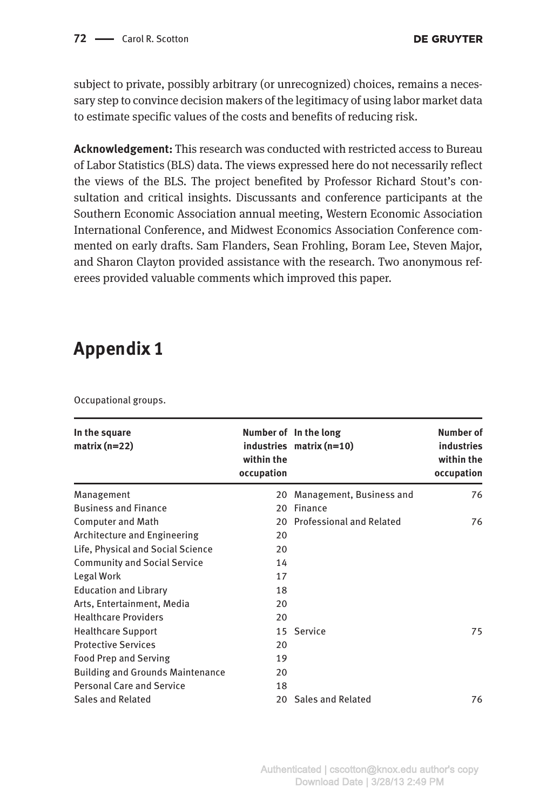subject to private, possibly arbitrary (or unrecognized) choices, remains a necessary step to convince decision makers of the legitimacy of using labor market data to estimate specific values of the costs and benefits of reducing risk.

**Acknowledgement:** This research was conducted with restricted access to Bureau of Labor Statistics (BLS) data. The views expressed here do not necessarily reflect the views of the BLS. The project benefited by Professor Richard Stout's consultation and critical insights. Discussants and conference participants at the Southern Economic Association annual meeting, Western Economic Association International Conference, and Midwest Economics Association Conference commented on early drafts. Sam Flanders, Sean Frohling, Boram Lee, Steven Major, and Sharon Clayton provided assistance with the research. Two anonymous referees provided valuable comments which improved this paper.

## **Appendix 1**

Occupational groups.

| In the square<br>matrix $(n=22)$        | within the<br>occupation | Number of In the long<br>industries matrix (n=10) | Number of<br><b>industries</b><br>within the<br>occupation |
|-----------------------------------------|--------------------------|---------------------------------------------------|------------------------------------------------------------|
| Management                              | 20                       | Management, Business and                          | 76                                                         |
| <b>Business and Finance</b>             | 20                       | Finance                                           |                                                            |
| <b>Computer and Math</b>                |                          | 20 Professional and Related                       | 76                                                         |
| Architecture and Engineering            | 20                       |                                                   |                                                            |
| Life, Physical and Social Science       | 20                       |                                                   |                                                            |
| <b>Community and Social Service</b>     | 14                       |                                                   |                                                            |
| Legal Work                              | 17                       |                                                   |                                                            |
| <b>Education and Library</b>            | 18                       |                                                   |                                                            |
| Arts, Entertainment, Media              | 20                       |                                                   |                                                            |
| <b>Healthcare Providers</b>             | 20                       |                                                   |                                                            |
| <b>Healthcare Support</b>               | 15                       | Service                                           | 75                                                         |
| <b>Protective Services</b>              | 20                       |                                                   |                                                            |
| Food Prep and Serving                   | 19                       |                                                   |                                                            |
| <b>Building and Grounds Maintenance</b> | 20                       |                                                   |                                                            |
| <b>Personal Care and Service</b>        | 18                       |                                                   |                                                            |
| <b>Sales and Related</b>                | 20                       | <b>Sales and Related</b>                          | 76                                                         |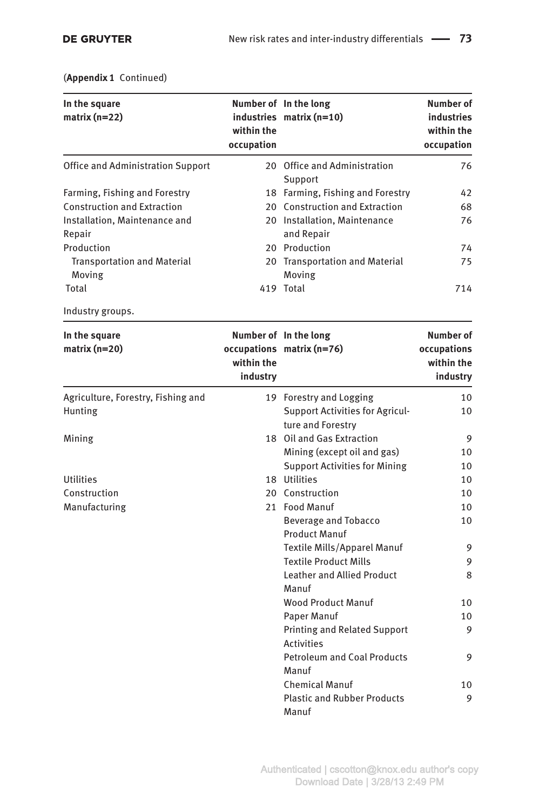| (Appendix 1 Continued) |  |
|------------------------|--|
|------------------------|--|

| In the square<br>matrix ( $n=22$ ) | within the<br>occupation | Number of In the long<br>industries matrix (n=10) | Number of<br><b>industries</b><br>within the<br>occupation |
|------------------------------------|--------------------------|---------------------------------------------------|------------------------------------------------------------|
| Office and Administration Support  |                          | 20 Office and Administration<br>Support           | 76                                                         |
| Farming, Fishing and Forestry      |                          | 18 Farming, Fishing and Forestry                  | 42                                                         |
| <b>Construction and Extraction</b> |                          | 20 Construction and Extraction                    | 68                                                         |
| Installation, Maintenance and      |                          | 20 Installation, Maintenance                      | 76                                                         |
| Repair                             |                          | and Repair                                        |                                                            |
| Production                         |                          | 20 Production                                     | 74                                                         |
| <b>Transportation and Material</b> |                          | 20 Transportation and Material                    | 75                                                         |
| Moving                             |                          | Moving                                            |                                                            |
| Total                              |                          | 419 Total                                         | 714                                                        |
| Industry groups.                   |                          |                                                   |                                                            |
| In the square                      |                          | Number of In the long                             | Number of                                                  |
| matrix $(n=20)$                    | within the<br>industry   | occupations matrix (n=76)                         | occupations<br>within the<br>industry                      |
|                                    |                          |                                                   |                                                            |
| Agriculture, Forestry, Fishing and |                          | 19 Forestry and Logging                           | 10                                                         |
| Hunting                            |                          | <b>Support Activities for Agricul-</b>            | 10                                                         |
|                                    |                          | ture and Forestry                                 |                                                            |
| Mining                             |                          | 18 Oil and Gas Extraction                         | 9                                                          |
|                                    |                          | Mining (except oil and gas)                       | 10                                                         |
|                                    |                          | <b>Support Activities for Mining</b>              | 10                                                         |
| <b>Utilities</b><br>Construction   |                          | 18 Utilities<br>20 Construction                   | 10<br>10                                                   |
|                                    |                          | 21 Food Manuf                                     |                                                            |
| Manufacturing                      |                          |                                                   | 10<br>10                                                   |
|                                    |                          | Beverage and Tobacco<br><b>Product Manuf</b>      |                                                            |
|                                    |                          | <b>Textile Mills/Apparel Manuf</b>                | 9                                                          |
|                                    |                          | <b>Textile Product Mills</b>                      | 9                                                          |
|                                    |                          | <b>Leather and Allied Product</b>                 | 8                                                          |
|                                    |                          | Manuf                                             |                                                            |
|                                    |                          | <b>Wood Product Manuf</b>                         | 10                                                         |
|                                    |                          | Paper Manuf                                       | 10                                                         |
|                                    |                          | <b>Printing and Related Support</b>               | 9                                                          |
|                                    |                          | <b>Activities</b>                                 |                                                            |
|                                    |                          | <b>Petroleum and Coal Products</b>                | 9                                                          |
|                                    |                          | Manuf                                             |                                                            |
|                                    |                          | <b>Chemical Manuf</b>                             | 10                                                         |
|                                    |                          | <b>Plastic and Rubber Products</b>                | 9                                                          |
|                                    |                          | Manuf                                             |                                                            |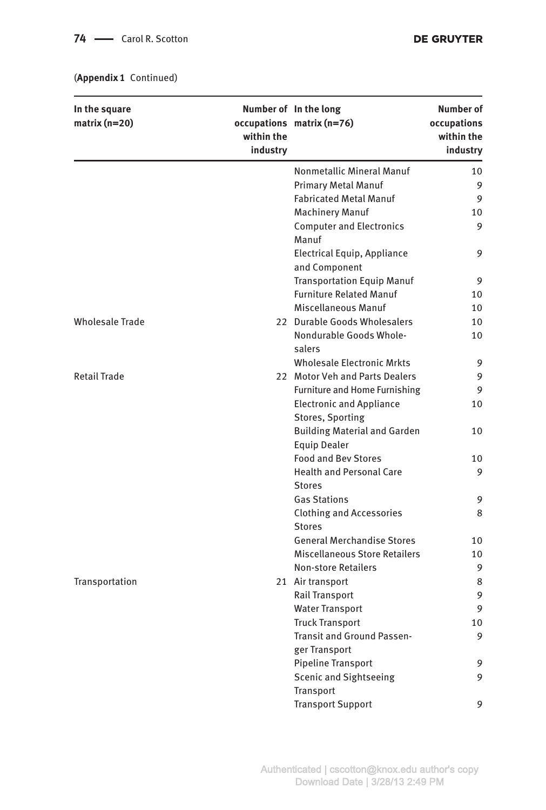#### (**Appendix 1** Continued)

| In the square<br>$matrix(n=20)$ | within the<br>industry | Number of In the long<br>occupations matrix (n=76) | <b>Number of</b><br>occupations<br>within the<br>industry |
|---------------------------------|------------------------|----------------------------------------------------|-----------------------------------------------------------|
|                                 |                        | Nonmetallic Mineral Manuf                          | 10                                                        |
|                                 |                        | <b>Primary Metal Manuf</b>                         | 9                                                         |
|                                 |                        | <b>Fabricated Metal Manuf</b>                      | 9                                                         |
|                                 |                        | <b>Machinery Manuf</b>                             | 10                                                        |
|                                 |                        | <b>Computer and Electronics</b><br>Manuf           | 9                                                         |
|                                 |                        | Electrical Equip, Appliance<br>and Component       | 9                                                         |
|                                 |                        | <b>Transportation Equip Manuf</b>                  | 9                                                         |
|                                 |                        | <b>Furniture Related Manuf</b>                     | 10                                                        |
|                                 |                        | Miscellaneous Manuf                                | 10                                                        |
| <b>Wholesale Trade</b>          |                        | 22 Durable Goods Wholesalers                       | 10                                                        |
|                                 |                        | Nondurable Goods Whole-<br>salers                  | 10                                                        |
|                                 |                        | <b>Wholesale Electronic Mrkts</b>                  | 9                                                         |
| <b>Retail Trade</b>             |                        | 22 Motor Veh and Parts Dealers                     | 9                                                         |
|                                 |                        | <b>Furniture and Home Furnishing</b>               | 9                                                         |
|                                 |                        | <b>Electronic and Appliance</b>                    | 10                                                        |
|                                 |                        | Stores, Sporting                                   |                                                           |
|                                 |                        | <b>Building Material and Garden</b>                | 10                                                        |
|                                 |                        | <b>Equip Dealer</b>                                |                                                           |
|                                 |                        | <b>Food and Bev Stores</b>                         | 10                                                        |
|                                 |                        | <b>Health and Personal Care</b><br><b>Stores</b>   | 9                                                         |
|                                 |                        | <b>Gas Stations</b>                                | 9                                                         |
|                                 |                        | <b>Clothing and Accessories</b><br><b>Stores</b>   | 8                                                         |
|                                 |                        | <b>General Merchandise Stores</b>                  | 10                                                        |
|                                 |                        | <b>Miscellaneous Store Retailers</b>               | 10                                                        |
|                                 |                        | Non-store Retailers                                | 9                                                         |
| Transportation                  |                        | 21 Air transport                                   | 8                                                         |
|                                 |                        | <b>Rail Transport</b>                              | 9                                                         |
|                                 |                        | <b>Water Transport</b>                             | 9                                                         |
|                                 |                        | <b>Truck Transport</b>                             | 10                                                        |
|                                 |                        | Transit and Ground Passen-<br>ger Transport        | 9                                                         |
|                                 |                        | <b>Pipeline Transport</b>                          | 9                                                         |
|                                 |                        | <b>Scenic and Sightseeing</b><br>Transport         | 9                                                         |
|                                 |                        | <b>Transport Support</b>                           | 9                                                         |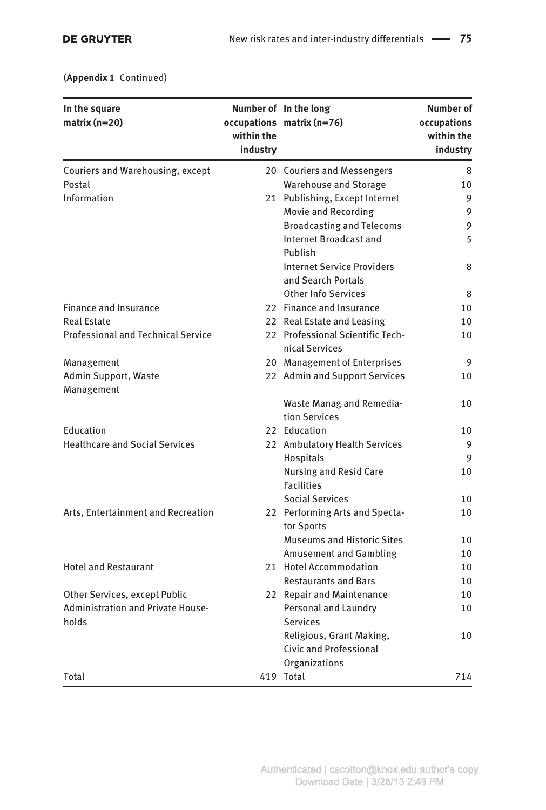#### (**Appendix 1** Continued)

| In the square<br>$matrix(n=20)$                   | within the<br>industry | Number of In the long<br>occupations matrix (n=76)                         | <b>Number of</b><br>occupations<br>within the<br>industry |
|---------------------------------------------------|------------------------|----------------------------------------------------------------------------|-----------------------------------------------------------|
| Couriers and Warehousing, except                  |                        | 20 Couriers and Messengers                                                 | 8                                                         |
| Postal                                            |                        | <b>Warehouse and Storage</b>                                               | 10                                                        |
| Information                                       |                        | 21 Publishing, Except Internet                                             | 9                                                         |
|                                                   |                        | Movie and Recording                                                        | 9                                                         |
|                                                   |                        | <b>Broadcasting and Telecoms</b>                                           | 9                                                         |
|                                                   |                        | <b>Internet Broadcast and</b><br>Publish                                   | 5                                                         |
|                                                   |                        | <b>Internet Service Providers</b><br>and Search Portals                    | 8                                                         |
|                                                   |                        | <b>Other Info Services</b>                                                 | 8                                                         |
| <b>Finance and Insurance</b>                      |                        | 22 Finance and Insurance                                                   | 10                                                        |
| <b>Real Estate</b>                                |                        | 22 Real Estate and Leasing                                                 | 10                                                        |
| <b>Professional and Technical Service</b>         |                        | 22 Professional Scientific Tech-<br>nical Services                         | 10                                                        |
| Management                                        |                        | 20 Management of Enterprises                                               | 9                                                         |
| Admin Support, Waste<br>Management                |                        | 22 Admin and Support Services                                              | 10                                                        |
|                                                   |                        | Waste Manag and Remedia-                                                   | 10                                                        |
|                                                   |                        | tion Services                                                              |                                                           |
| Education                                         |                        | 22 Education                                                               | 10                                                        |
| <b>Healthcare and Social Services</b>             |                        | 22 Ambulatory Health Services                                              | 9                                                         |
|                                                   |                        | Hospitals                                                                  | 9                                                         |
|                                                   |                        | Nursing and Resid Care<br><b>Facilities</b>                                | 10                                                        |
|                                                   |                        | <b>Social Services</b>                                                     | 10                                                        |
| Arts, Entertainment and Recreation                |                        | 22 Performing Arts and Specta-<br>tor Sports                               | 10                                                        |
|                                                   |                        | <b>Museums and Historic Sites</b>                                          | 10                                                        |
|                                                   |                        | <b>Amusement and Gambling</b>                                              | 10                                                        |
| <b>Hotel and Restaurant</b>                       |                        | 21 Hotel Accommodation                                                     | 10                                                        |
|                                                   |                        | <b>Restaurants and Bars</b>                                                | 10                                                        |
| Other Services, except Public                     |                        | 22 Repair and Maintenance                                                  | 10                                                        |
| <b>Administration and Private House-</b><br>holds |                        | Personal and Laundry<br><b>Services</b>                                    | 10                                                        |
|                                                   |                        | Religious, Grant Making,<br><b>Civic and Professional</b><br>Organizations | 10                                                        |
| Total                                             |                        | 419 Total                                                                  | 714                                                       |
|                                                   |                        |                                                                            |                                                           |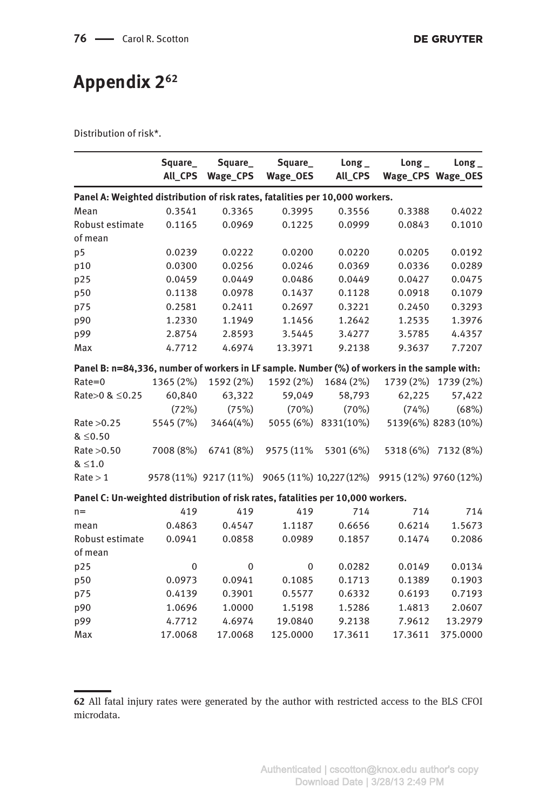# **Appendix 262**

Distribution of risk\*.

|                                                                                              | Square_<br>All CPS | Square_<br>Wage_CPS | Square_<br>Wage_OES | $Long-$<br>All_CPS   | $Long_$                                                             | $Long-$<br>Wage_CPS Wage_OES |  |  |
|----------------------------------------------------------------------------------------------|--------------------|---------------------|---------------------|----------------------|---------------------------------------------------------------------|------------------------------|--|--|
| Panel A: Weighted distribution of risk rates, fatalities per 10,000 workers.                 |                    |                     |                     |                      |                                                                     |                              |  |  |
| Mean                                                                                         | 0.3541             | 0.3365              | 0.3995              | 0.3556               | 0.3388                                                              | 0.4022                       |  |  |
| Robust estimate                                                                              | 0.1165             | 0.0969              | 0.1225              | 0.0999               | 0.0843                                                              | 0.1010                       |  |  |
| of mean                                                                                      |                    |                     |                     |                      |                                                                     |                              |  |  |
| p <sub>5</sub>                                                                               | 0.0239             | 0.0222              | 0.0200              | 0.0220               | 0.0205                                                              | 0.0192                       |  |  |
| p10                                                                                          | 0.0300             | 0.0256              | 0.0246              | 0.0369               | 0.0336                                                              | 0.0289                       |  |  |
| p25                                                                                          | 0.0459             | 0.0449              | 0.0486              | 0.0449               | 0.0427                                                              | 0.0475                       |  |  |
| p50                                                                                          | 0.1138             | 0.0978              | 0.1437              | 0.1128               | 0.0918                                                              | 0.1079                       |  |  |
| p75                                                                                          | 0.2581             | 0.2411              | 0.2697              | 0.3221               | 0.2450                                                              | 0.3293                       |  |  |
| p90                                                                                          | 1.2330             | 1.1949              | 1.1456              | 1.2642               | 1.2535                                                              | 1.3976                       |  |  |
| p99                                                                                          | 2.8754             | 2.8593              | 3.5445              | 3.4277               | 3.5785                                                              | 4.4357                       |  |  |
| Max                                                                                          | 4.7712             | 4.6974              | 13.3971             | 9.2138               | 9.3637                                                              | 7.7207                       |  |  |
| Panel B: n=84,336, number of workers in LF sample. Number (%) of workers in the sample with: |                    |                     |                     |                      |                                                                     |                              |  |  |
| Rate=0                                                                                       | 1365 (2%)          | 1592 (2%)           | 1592 (2%)           | 1684 (2%)            | 1739 (2%)                                                           | 1739 (2%)                    |  |  |
| Rate>0 & ≤0.25                                                                               | 60,840             | 63,322              | 59,049              | 58,793               | 62,225                                                              | 57,422                       |  |  |
|                                                                                              | (72%)              | (75%)               | (70%)               | (70%)                | (74%)                                                               | (68%)                        |  |  |
| Rate $>0.25$                                                                                 | 5545 (7%)          | 3464(4%)            |                     | 5055 (6%) 8331 (10%) |                                                                     | 5139(6%) 8283 (10%)          |  |  |
| & 50.50                                                                                      |                    |                     |                     |                      |                                                                     |                              |  |  |
| Rate > 0.50                                                                                  | 7008 (8%)          | 6741 (8%)           | 9575 (11%)          | 5301 (6%)            |                                                                     | 5318 (6%) 7132 (8%)          |  |  |
| & 51.0                                                                                       |                    |                     |                     |                      |                                                                     |                              |  |  |
| Rate > 1                                                                                     |                    |                     |                     |                      | 9578 (11%) 9217 (11%) 9065 (11%) 10,227 (12%) 9915 (12%) 9760 (12%) |                              |  |  |
| Panel C: Un-weighted distribution of risk rates, fatalities per 10,000 workers.              |                    |                     |                     |                      |                                                                     |                              |  |  |
| $n =$                                                                                        | 419                | 419                 | 419                 | 714                  | 714                                                                 | 714                          |  |  |
| mean                                                                                         | 0.4863             | 0.4547              | 1.1187              | 0.6656               | 0.6214                                                              | 1.5673                       |  |  |
| Robust estimate                                                                              | 0.0941             | 0.0858              | 0.0989              | 0.1857               | 0.1474                                                              | 0.2086                       |  |  |
| of mean                                                                                      |                    |                     |                     |                      |                                                                     |                              |  |  |
| p25                                                                                          | 0                  | 0                   | $\mathbf 0$         | 0.0282               | 0.0149                                                              | 0.0134                       |  |  |
| p50                                                                                          | 0.0973             | 0.0941              | 0.1085              | 0.1713               | 0.1389                                                              | 0.1903                       |  |  |
| p75                                                                                          | 0.4139             | 0.3901              | 0.5577              | 0.6332               | 0.6193                                                              | 0.7193                       |  |  |
| p90                                                                                          | 1.0696             | 1.0000              | 1.5198              | 1.5286               | 1.4813                                                              | 2.0607                       |  |  |
| p99                                                                                          | 4.7712             | 4.6974              | 19.0840             | 9.2138               | 7.9612                                                              | 13.2979                      |  |  |
| Max                                                                                          | 17.0068            | 17.0068             | 125.0000            | 17.3611              | 17.3611                                                             | 375.0000                     |  |  |

**62** All fatal injury rates were generated by the author with restricted access to the BLS CFOI microdata.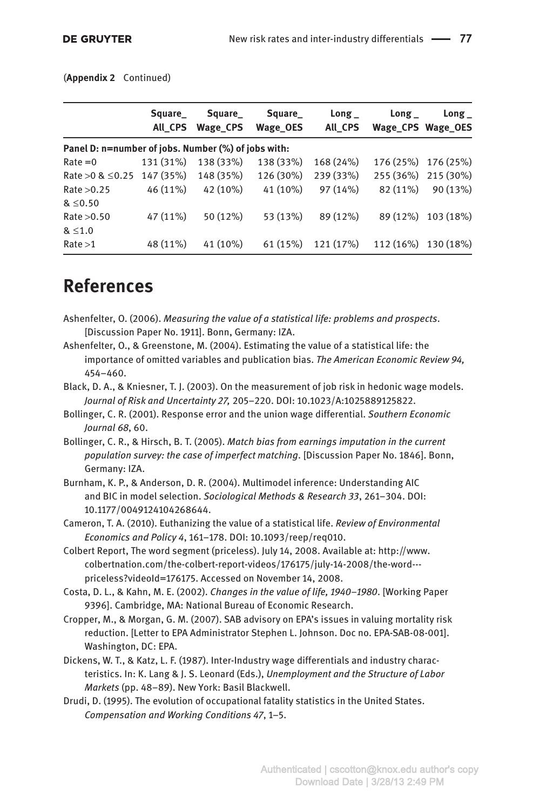|                                                     | $Square_$<br>All CPS | Square<br>Wage_CPS | Square<br>Wage_OES | $Long_$<br>All_CPS | $Long_$<br>Wage_CPS Wage_OES | $Long_$             |  |  |
|-----------------------------------------------------|----------------------|--------------------|--------------------|--------------------|------------------------------|---------------------|--|--|
| Panel D: n=number of jobs. Number (%) of jobs with: |                      |                    |                    |                    |                              |                     |  |  |
| Rate =0                                             | 131 (31%)            | 138 (33%)          | 138 (33%)          | 168 (24%)          |                              | 176 (25%) 176 (25%) |  |  |
| Rate >0 & ≤0.25                                     | 147 (35%)            | 148 (35%)          | 126 (30%)          | 239 (33%)          |                              | 255 (36%) 215 (30%) |  |  |
| Rate > 0.25                                         | 46 (11%)             | 42 (10%)           | 41 (10%)           | 97(14%)            | 82 (11%)                     | 90 (13%)            |  |  |
| & 50.50                                             |                      |                    |                    |                    |                              |                     |  |  |
| Rate > 0.50                                         | 47 (11%)             | 50 (12%)           | 53 (13%)           | 89 (12%)           | 89 (12%)                     | 103 (18%)           |  |  |
| $&$ $\leq$ 1.0                                      |                      |                    |                    |                    |                              |                     |  |  |
| Rate > 1                                            | 48 (11%)             | 41 (10%)           | 61 (15%)           | 121 (17%)          |                              | 112 (16%) 130 (18%) |  |  |

(**Appendix 2** Continued)

### **References**

- Ashenfelter, O. (2006). *Measuring the value of a statistical life: problems and prospects*. [Discussion Paper No. 1911]. Bonn, Germany: IZA.
- Ashenfelter, O., & Greenstone, M. (2004). Estimating the value of a statistical life: the importance of omitted variables and publication bias. *The American Economic Review 94,* 454–460.
- Black, D. A., & Kniesner, T. J. (2003). On the measurement of job risk in hedonic wage models. *Journal of Risk and Uncertainty 27,* 205–220. DOI: 10.1023/A:1025889125822.
- Bollinger, C. R. (2001). Response error and the union wage differential. *Southern Economic Journal 68*, 60.
- Bollinger, C. R., & Hirsch, B. T. (2005). *Match bias from earnings imputation in the current population survey: the case of imperfect matching*. [Discussion Paper No. 1846]. Bonn, Germany: IZA.
- Burnham, K. P., & Anderson, D. R. (2004). Multimodel inference: Understanding AIC and BIC in model selection. *Sociological Methods & Research 33*, 261–304. DOI: 10.1177/0049124104268644.
- Cameron, T. A. (2010). Euthanizing the value of a statistical life. *Review of Environmental Economics and Policy 4*, 161–178. DOI: 10.1093/reep/req010.
- Colbert Report, The word segment (priceless). July 14, 2008. Available at: http://www. colbertnation.com/the-colbert-report-videos/176175/july-14-2008/the-word-- priceless?videoId=176175. Accessed on November 14, 2008.
- Costa, D. L., & Kahn, M. E. (2002). *Changes in the value of life, 1940–1980*. [Working Paper 9396]. Cambridge, MA: National Bureau of Economic Research.
- Cropper, M., & Morgan, G. M. (2007). SAB advisory on EPA's issues in valuing mortality risk reduction. [Letter to EPA Administrator Stephen L. Johnson. Doc no. EPA-SAB-08-001]. Washington, DC: EPA.
- Dickens, W. T., & Katz, L. F. (1987). Inter-Industry wage differentials and industry characteristics. In: K. Lang & J. S. Leonard (Eds.), *Unemployment and the Structure of Labor Markets* (pp. 48–89). New York: Basil Blackwell.
- Drudi, D. (1995). The evolution of occupational fatality statistics in the United States. *Compensation and Working Conditions 47*, 1–5.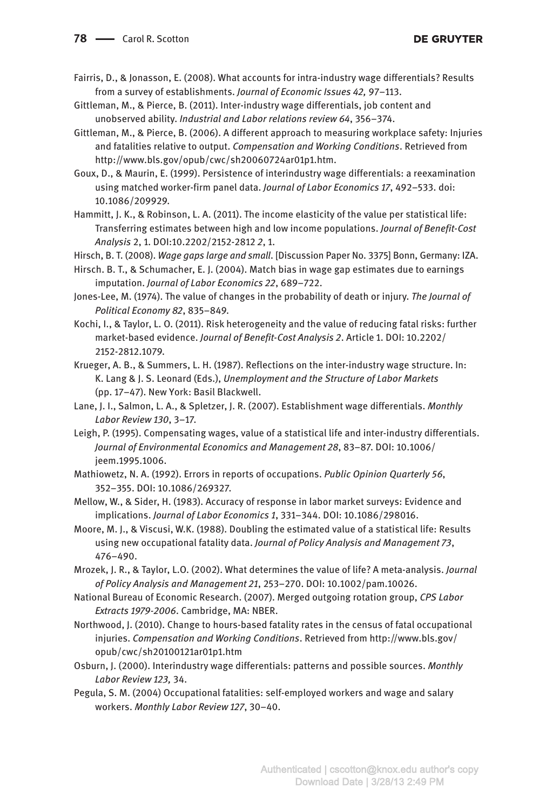78 **- Carol R. Scotton** 

- Fairris, D., & Jonasson, E. (2008). What accounts for intra-industry wage differentials? Results from a survey of establishments. *Journal of Economic Issues 42,* 97–113.
- Gittleman, M., & Pierce, B. (2011). Inter-industry wage differentials, job content and unobserved ability. *Industrial and Labor relations review 64*, 356–374.
- Gittleman, M., & Pierce, B. (2006). A different approach to measuring workplace safety: Injuries and fatalities relative to output. *Compensation and Working Conditions*. Retrieved from http://www.bls.gov/opub/cwc/sh20060724ar01p1.htm.
- Goux, D., & Maurin, E. (1999). Persistence of interindustry wage differentials: a reexamination using matched worker-firm panel data. *Journal of Labor Economics 17*, 492–533. doi: 10.1086/209929.
- Hammitt, J. K., & Robinson, L. A. (2011). The income elasticity of the value per statistical life: Transferring estimates between high and low income populations. *Journal of Benefit-Cost Analysis* 2, 1. DOI:10.2202/2152-2812 *2*, 1.
- Hirsch, B. T. (2008). *Wage gaps large and small*. [Discussion Paper No. 3375] Bonn, Germany: IZA.
- Hirsch. B. T., & Schumacher, E. J. (2004). Match bias in wage gap estimates due to earnings imputation. *Journal of Labor Economics 22*, 689–722.
- Jones-Lee, M. (1974). The value of changes in the probability of death or injury. *The Journal of Political Economy 82*, 835–849.
- Kochi, I., & Taylor, L. O. (2011). Risk heterogeneity and the value of reducing fatal risks: further market-based evidence. *Journal of Benefit-Cost Analysis 2*. Article 1. DOI: 10.2202/ 2152-2812.1079.
- Krueger, A. B., & Summers, L. H. (1987). Reflections on the inter-industry wage structure. In: K. Lang & J. S. Leonard (Eds.), *Unemployment and the Structure of Labor Markets* (pp. 17–47). New York: Basil Blackwell.
- Lane, J. I., Salmon, L. A., & Spletzer, J. R. (2007). Establishment wage differentials. *Monthly Labor Review 130*, 3–17.
- Leigh, P. (1995). Compensating wages, value of a statistical life and inter-industry differentials. *Journal of Environmental Economics and Management 28*, 83–87. DOI: 10.1006/ jeem.1995.1006.
- Mathiowetz, N. A. (1992). Errors in reports of occupations. *Public Opinion Quarterly 56*, 352–355. DOI: 10.1086/269327.
- Mellow, W., & Sider, H. (1983). Accuracy of response in labor market surveys: Evidence and implications. *Journal of Labor Economics 1*, 331–344. DOI: 10.1086/298016.
- Moore, M. J., & Viscusi, W.K. (1988). Doubling the estimated value of a statistical life: Results using new occupational fatality data. *Journal of Policy Analysis and Management 73*, 476–490.
- Mrozek, J. R., & Taylor, L.O. (2002). What determines the value of life? A meta-analysis. *Journal of Policy Analysis and Management 21*, 253–270. DOI: 10.1002/pam.10026.
- National Bureau of Economic Research. (2007). Merged outgoing rotation group, *CPS Labor Extracts 1979-2006*. Cambridge, MA: NBER.
- Northwood, J. (2010). Change to hours-based fatality rates in the census of fatal occupational injuries. *Compensation and Working Conditions*. Retrieved from http://www.bls.gov/ opub/cwc/sh20100121ar01p1.htm
- Osburn, J. (2000). Interindustry wage differentials: patterns and possible sources. *Monthly Labor Review 123,* 34.
- Pegula, S. M. (2004) Occupational fatalities: self-employed workers and wage and salary workers. *Monthly Labor Review 127*, 30–40.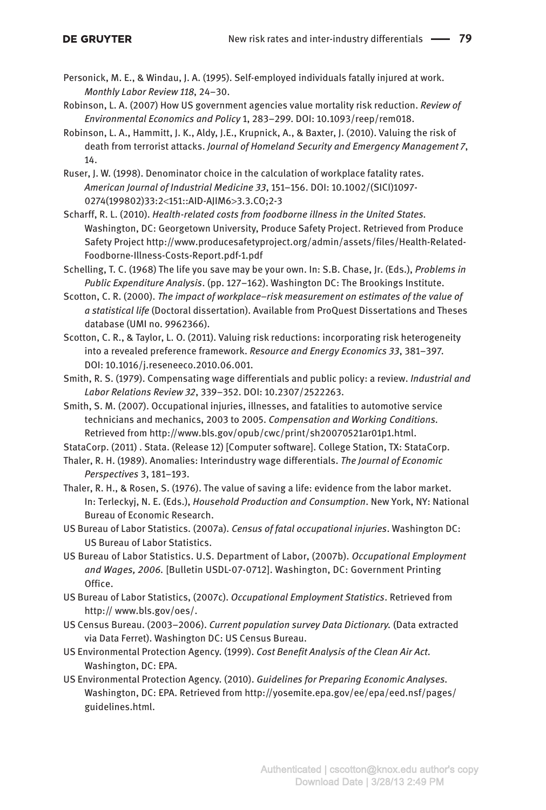- Personick, M. E., & Windau, J. A. (1995). Self-employed individuals fatally injured at work. *Monthly Labor Review 118*, 24–30.
- Robinson, L. A. (2007) How US government agencies value mortality risk reduction. *Review of Environmental Economics and Policy* 1, 283–299. DOI: 10.1093/reep/rem018.
- Robinson, L. A., Hammitt, J. K., Aldy, J.E., Krupnick, A., & Baxter, J. (2010). Valuing the risk of death from terrorist attacks. *Journal of Homeland Security and Emergency Management 7*, 14.
- Ruser, J. W. (1998). Denominator choice in the calculation of workplace fatality rates. *American Journal of Industrial Medicine 33*, 151–156. DOI: 10.1002/(SICI)1097- 0274(199802)33:2<151::AID-AJIM6>3.3.CO;2-3
- Scharff, R. L. (2010). *Health-related costs from foodborne illness in the United States.* Washington, DC: Georgetown University, Produce Safety Project. Retrieved from Produce Safety Project http://www.producesafetyproject.org/admin/assets/files/Health-Related-Foodborne-Illness-Costs-Report.pdf-1.pdf
- Schelling, T. C. (1968) The life you save may be your own. In: S.B. Chase, Jr. (Eds.), *Problems in Public Expenditure Analysis*. (pp. 127–162). Washington DC: The Brookings Institute.
- Scotton, C. R. (2000). *The impact of workplace–risk measurement on estimates of the value of a statistical life* (Doctoral dissertation). Available from ProQuest Dissertations and Theses database (UMI no. 9962366).
- Scotton, C. R., & Taylor, L. O. (2011). Valuing risk reductions: incorporating risk heterogeneity into a revealed preference framework. *Resource and Energy Economics 33*, 381–397. DOI: 10.1016/j.reseneeco.2010.06.001.
- Smith, R. S. (1979). Compensating wage differentials and public policy: a review. *Industrial and Labor Relations Review 32*, 339–352. DOI: 10.2307/2522263.
- Smith, S. M. (2007). Occupational injuries, illnesses, and fatalities to automotive service technicians and mechanics, 2003 to 2005. *Compensation and Working Conditions.* Retrieved from http://www.bls.gov/opub/cwc/print/sh20070521ar01p1.html.
- StataCorp. (2011) . Stata. (Release 12) [Computer software]. College Station, TX: StataCorp.
- Thaler, R. H. (1989). Anomalies: Interindustry wage differentials. *The Journal of Economic Perspectives* 3, 181–193.
- Thaler, R. H., & Rosen, S. (1976). The value of saving a life: evidence from the labor market. In: Terleckyj, N. E. (Eds.), *Household Production and Consumption*. New York, NY: National Bureau of Economic Research.
- US Bureau of Labor Statistics. (2007a). *Census of fatal occupational injuries*. Washington DC: US Bureau of Labor Statistics.
- US Bureau of Labor Statistics. U.S. Department of Labor, (2007b). *Occupational Employment and Wages, 2006.* [Bulletin USDL-07-0712]. Washington, DC: Government Printing Office.
- US Bureau of Labor Statistics, (2007c). *Occupational Employment Statistics*. Retrieved from http:// www.bls.gov/oes/.
- US Census Bureau. (2003–2006). *Current population survey Data Dictionary.* (Data extracted via Data Ferret). Washington DC: US Census Bureau.
- US Environmental Protection Agency. (1999). *Cost Benefit Analysis of the Clean Air Act*. Washington, DC: EPA.
- US Environmental Protection Agency. (2010). *Guidelines for Preparing Economic Analyses.* Washington, DC: EPA. Retrieved from http://yosemite.epa.gov/ee/epa/eed.nsf/pages/ guidelines.html.